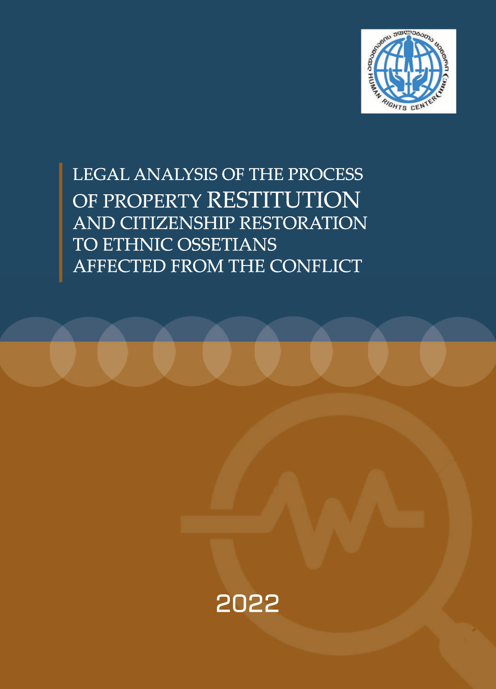

LEGAL ANALYSIS OF THE PROCESS OF PROPERTY RESTITUTION AND CITIZENSHIP RESTORATION TO ETHNIC OSSETIANS AFFECTED FROM THE CONFLICT

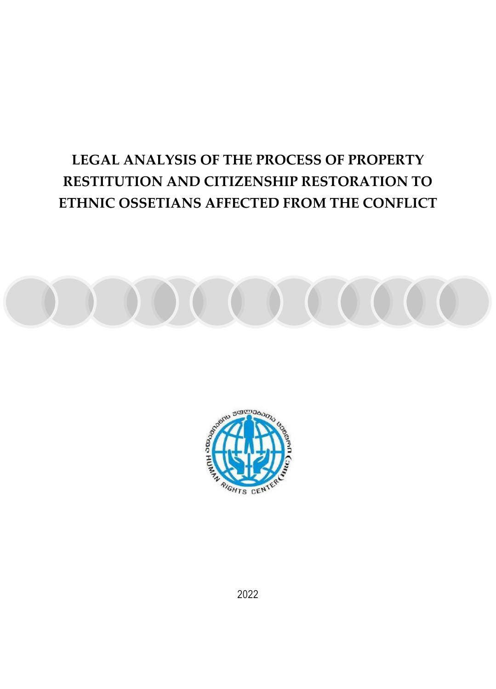# **LEGAL ANALYSIS OF THE PROCESS OF PROPERTY RESTITUTION AND CITIZENSHIP RESTORATION TO ETHNIC OSSETIANS AFFECTED FROM THE CONFLICT**





2022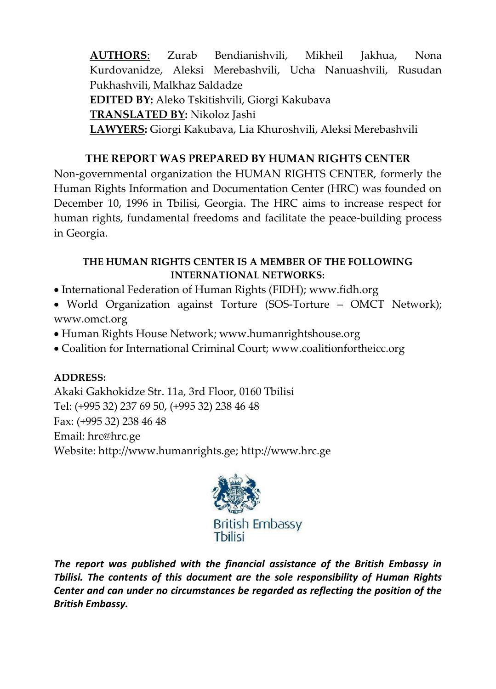**AUTHORS**: Zurab Bendianishvili, Mikheil Jakhua, Nona Kurdovanidze, Aleksi Merebashvili, Ucha Nanuashvili, Rusudan Pukhashvili, Malkhaz Saldadze **EDITED BY:** Aleko Tskitishvili, Giorgi Kakubava **TRANSLATED BY:** Nikoloz Jashi **LAWYERS:** Giorgi Kakubava, Lia Khuroshvili, Aleksi Merebashvili

# **THE REPORT WAS PREPARED BY HUMAN RIGHTS CENTER**

Non-governmental organization the HUMAN RIGHTS CENTER, formerly the Human Rights Information and Documentation Center (HRC) was founded on December 10, 1996 in Tbilisi, Georgia. The HRC aims to increase respect for human rights, fundamental freedoms and facilitate the peace-building process in Georgia.

### **THE HUMAN RIGHTS CENTER IS A MEMBER OF THE FOLLOWING INTERNATIONAL NETWORKS:**

- International Federation of Human Rights (FIDH); [www.fidh.org](http://www.fidh.org/)
- World Organization against Torture (SOS-Torture OMCT Network); [www.omct.org](http://www.omct.org/)
- Human Rights House Network[; www.humanrightshouse.org](http://www.humanrightshouse.org/)
- Coalition for International Criminal Court; [www.coalitionfortheicc.org](http://www.coalitionfortheicc.org/)

# **ADDRESS:**

Akaki Gakhokidze Str. 11a, 3rd Floor, 0160 Tbilisi Tel: (+995 32) 237 69 50, (+995 32) 238 46 48 Fax: (+995 32) 238 46 48 Email: [hrc@hrc.ge](mailto:hrc@hrc.ge)  Website[: http://www.humanrights.ge;](http://www.humanrights.ge/) [http://www.hrc.ge](http://www.hrc.ge/)



*The report was published with the financial assistance of the British Embassy in Tbilisi. The contents of this document are the sole responsibility of Human Rights Center and can under no circumstances be regarded as reflecting the position of the British Embassy.*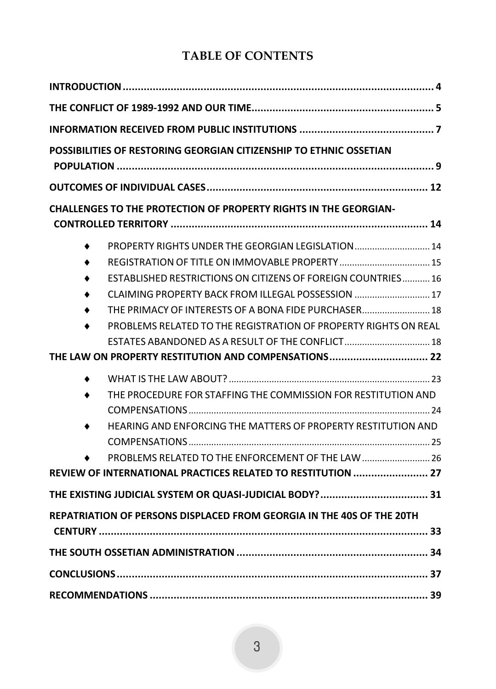# **TABLE OF CONTENTS**

| POSSIBILITIES OF RESTORING GEORGIAN CITIZENSHIP TO ETHNIC OSSETIAN    |                                                                                                                                                                                                                                                                                                                                                                    |
|-----------------------------------------------------------------------|--------------------------------------------------------------------------------------------------------------------------------------------------------------------------------------------------------------------------------------------------------------------------------------------------------------------------------------------------------------------|
|                                                                       |                                                                                                                                                                                                                                                                                                                                                                    |
|                                                                       | CHALLENGES TO THE PROTECTION OF PROPERTY RIGHTS IN THE GEORGIAN-                                                                                                                                                                                                                                                                                                   |
|                                                                       | PROPERTY RIGHTS UNDER THE GEORGIAN LEGISLATION  14<br><b>ESTABLISHED RESTRICTIONS ON CITIZENS OF FOREIGN COUNTRIES 16</b><br>CLAIMING PROPERTY BACK FROM ILLEGAL POSSESSION  17<br>THE PRIMACY OF INTERESTS OF A BONA FIDE PURCHASER 18<br>PROBLEMS RELATED TO THE REGISTRATION OF PROPERTY RIGHTS ON REAL<br>THE LAW ON PROPERTY RESTITUTION AND COMPENSATIONS 22 |
|                                                                       | THE PROCEDURE FOR STAFFING THE COMMISSION FOR RESTITUTION AND<br>HEARING AND ENFORCING THE MATTERS OF PROPERTY RESTITUTION AND<br>PROBLEMS RELATED TO THE ENFORCEMENT OF THE LAW  26<br>REVIEW OF INTERNATIONAL PRACTICES RELATED TO RESTITUTION  27                                                                                                               |
|                                                                       |                                                                                                                                                                                                                                                                                                                                                                    |
| REPATRIATION OF PERSONS DISPLACED FROM GEORGIA IN THE 40S OF THE 20TH |                                                                                                                                                                                                                                                                                                                                                                    |
|                                                                       |                                                                                                                                                                                                                                                                                                                                                                    |
|                                                                       |                                                                                                                                                                                                                                                                                                                                                                    |
|                                                                       |                                                                                                                                                                                                                                                                                                                                                                    |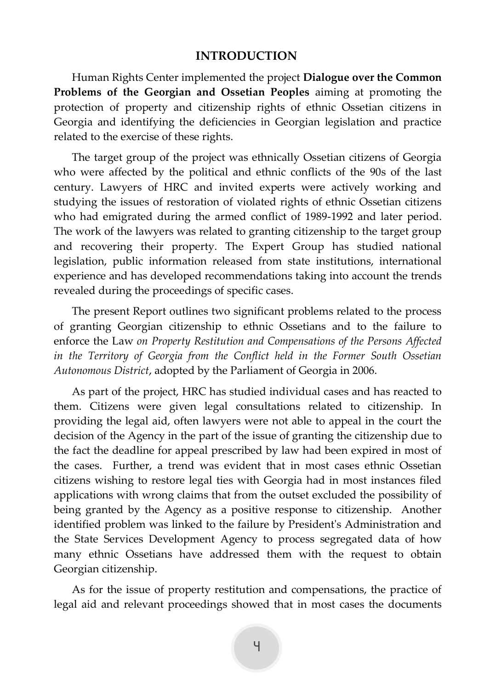#### **INTRODUCTION**

<span id="page-4-0"></span>Human Rights Center implemented the project **Dialogue over the Common Problems of the Georgian and Ossetian Peoples** aiming at promoting the protection of property and citizenship rights of ethnic Ossetian citizens in Georgia and identifying the deficiencies in Georgian legislation and practice related to the exercise of these rights.

The target group of the project was ethnically Ossetian citizens of Georgia who were affected by the political and ethnic conflicts of the 90s of the last century. Lawyers of HRC and invited experts were actively working and studying the issues of restoration of violated rights of ethnic Ossetian citizens who had emigrated during the armed conflict of 1989-1992 and later period. The work of the lawyers was related to granting citizenship to the target group and recovering their property. The Expert Group has studied national legislation, public information released from state institutions, international experience and has developed recommendations taking into account the trends revealed during the proceedings of specific cases.

The present Report outlines two significant problems related to the process of granting Georgian citizenship to ethnic Ossetians and to the failure to enforce the Law *on Property Restitution and Compensations of the Persons Affected in the Territory of Georgia from the Conflict held in the Former South Ossetian Autonomous District*, adopted by the Parliament of Georgia in 2006.

As part of the project, HRC has studied individual cases and has reacted to them. Citizens were given legal consultations related to citizenship. In providing the legal aid, often lawyers were not able to appeal in the court the decision of the Agency in the part of the issue of granting the citizenship due to the fact the deadline for appeal prescribed by law had been expired in most of the cases. Further, a trend was evident that in most cases ethnic Ossetian citizens wishing to restore legal ties with Georgia had in most instances filed applications with wrong claims that from the outset excluded the possibility of being granted by the Agency as a positive response to citizenship. Another identified problem was linked to the failure by President's Administration and the State Services Development Agency to process segregated data of how many ethnic Ossetians have addressed them with the request to obtain Georgian citizenship.

As for the issue of property restitution and compensations, the practice of legal aid and relevant proceedings showed that in most cases the documents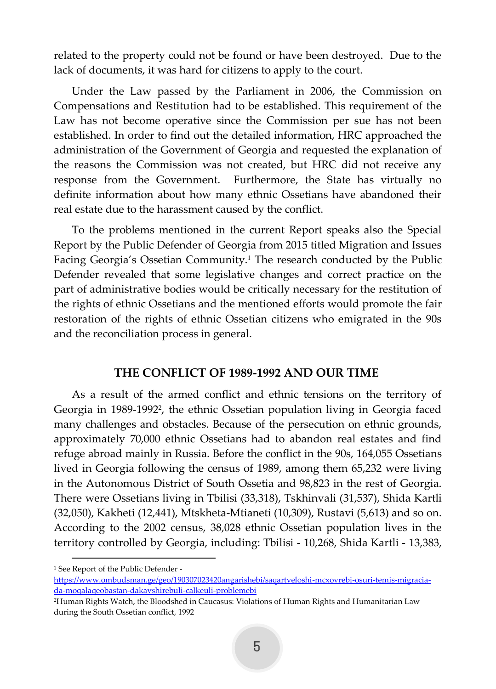related to the property could not be found or have been destroyed. Due to the lack of documents, it was hard for citizens to apply to the court.

Under the Law passed by the Parliament in 2006, the Commission on Compensations and Restitution had to be established. This requirement of the Law has not become operative since the Commission per sue has not been established. In order to find out the detailed information, HRC approached the administration of the Government of Georgia and requested the explanation of the reasons the Commission was not created, but HRC did not receive any response from the Government. Furthermore, the State has virtually no definite information about how many ethnic Ossetians have abandoned their real estate due to the harassment caused by the conflict.

To the problems mentioned in the current Report speaks also the Special Report by the Public Defender of Georgia from 2015 titled Migration and Issues Facing Georgia's Ossetian Community.<sup>1</sup> The research conducted by the Public Defender revealed that some legislative changes and correct practice on the part of administrative bodies would be critically necessary for the restitution of the rights of ethnic Ossetians and the mentioned efforts would promote the fair restoration of the rights of ethnic Ossetian citizens who emigrated in the 90s and the reconciliation process in general.

### **THE CONFLICT OF 1989-1992 AND OUR TIME**

<span id="page-5-0"></span>As a result of the armed conflict and ethnic tensions on the territory of Georgia in 1989-1992<sup>2</sup> , the ethnic Ossetian population living in Georgia faced many challenges and obstacles. Because of the persecution on ethnic grounds, approximately 70,000 ethnic Ossetians had to abandon real estates and find refuge abroad mainly in Russia. Before the conflict in the 90s, 164,055 Ossetians lived in Georgia following the census of 1989, among them 65,232 were living in the Autonomous District of South Ossetia and 98,823 in the rest of Georgia. There were Ossetians living in Tbilisi (33,318), Tskhinvali (31,537), Shida Kartli (32,050), Kakheti (12,441), Mtskheta-Mtianeti (10,309), Rustavi (5,613) and so on. According to the 2002 census, 38,028 ethnic Ossetian population lives in the territory controlled by Georgia, including: Tbilisi - 10,268, Shida Kartli - 13,383,

<sup>1</sup> See Report of the Public Defender -

[https://www.ombudsman.ge/geo/190307023420angarishebi/saqartveloshi-mcxovrebi-osuri-temis-migracia](https://www.ombudsman.ge/geo/190307023420angarishebi/saqartveloshi-mcxovrebi-osuri-temis-migracia-da-moqalaqeobastan-dakavshirebuli-calkeuli-problemebi)[da-moqalaqeobastan-dakavshirebuli-calkeuli-problemebi](https://www.ombudsman.ge/geo/190307023420angarishebi/saqartveloshi-mcxovrebi-osuri-temis-migracia-da-moqalaqeobastan-dakavshirebuli-calkeuli-problemebi)

<sup>2</sup>Human Rights Watch, the Bloodshed in Caucasus: Violations of Human Rights and Humanitarian Law during the South Ossetian conflict, 1992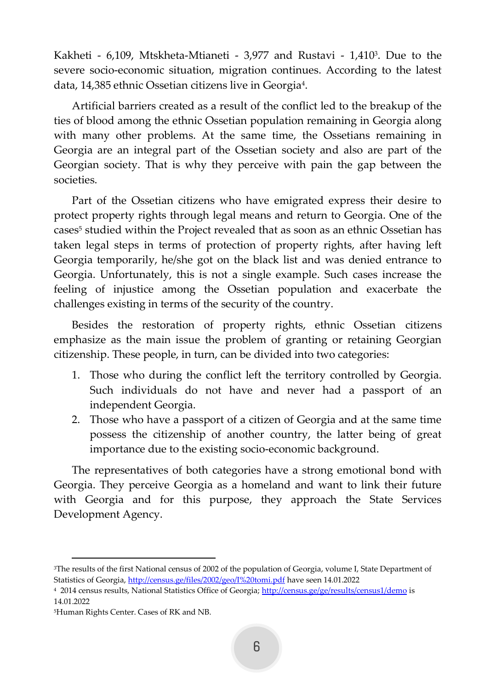Kakheti - 6,109, Mtskheta-Mtianeti - 3,977 and Rustavi - 1,410<sup>3</sup>. Due to the severe socio-economic situation, migration continues. According to the latest data, 14,385 ethnic Ossetian citizens live in Georgia<sup>4</sup> .

Artificial barriers created as a result of the conflict led to the breakup of the ties of blood among the ethnic Ossetian population remaining in Georgia along with many other problems. At the same time, the Ossetians remaining in Georgia are an integral part of the Ossetian society and also are part of the Georgian society. That is why they perceive with pain the gap between the societies.

Part of the Ossetian citizens who have emigrated express their desire to protect property rights through legal means and return to Georgia. One of the cases<sup>5</sup> studied within the Project revealed that as soon as an ethnic Ossetian has taken legal steps in terms of protection of property rights, after having left Georgia temporarily, he/she got on the black list and was denied entrance to Georgia. Unfortunately, this is not a single example. Such cases increase the feeling of injustice among the Ossetian population and exacerbate the challenges existing in terms of the security of the country.

Besides the restoration of property rights, ethnic Ossetian citizens emphasize as the main issue the problem of granting or retaining Georgian citizenship. These people, in turn, can be divided into two categories:

- 1. Those who during the conflict left the territory controlled by Georgia. Such individuals do not have and never had a passport of an independent Georgia.
- 2. Those who have a passport of a citizen of Georgia and at the same time possess the citizenship of another country, the latter being of great importance due to the existing socio-economic background.

The representatives of both categories have a strong emotional bond with Georgia. They perceive Georgia as a homeland and want to link their future with Georgia and for this purpose, they approach the State Services Development Agency.

<sup>3</sup>The results of the first National census of 2002 of the population of Georgia, volume I, State Department of Statistics of Georgia[, http://census.ge/files/2002/geo/I%20tomi.pdf](http://census.ge/files/2002/geo/I%20tomi.pdf) have seen 14.01.2022

<sup>&</sup>lt;sup>4</sup> 2014 census results, National Statistics Office of Georgia; <u>http://census.ge/ge/results/census1/demo</u> is 14.01.2022

<sup>5</sup>Human Rights Center. Cases of RK and NB.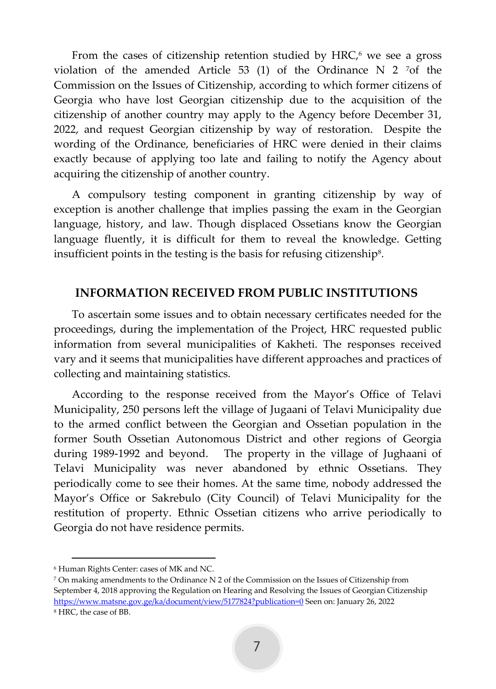From the cases of citizenship retention studied by  $HRC<sub>1</sub>$ <sup>6</sup> we see a gross violation of the amended Article 53 (1) of the Ordinance N 2  $^7$ of the Commission on the Issues of Citizenship, according to which former citizens of Georgia who have lost Georgian citizenship due to the acquisition of the citizenship of another country may apply to the Agency before December 31, 2022, and request Georgian citizenship by way of restoration. Despite the wording of the Ordinance, beneficiaries of HRC were denied in their claims exactly because of applying too late and failing to notify the Agency about acquiring the citizenship of another country.

A compulsory testing component in granting citizenship by way of exception is another challenge that implies passing the exam in the Georgian language, history, and law. Though displaced Ossetians know the Georgian language fluently, it is difficult for them to reveal the knowledge. Getting insufficient points in the testing is the basis for refusing citizenship $^{\rm 8}.$ 

### <span id="page-7-0"></span>**INFORMATION RECEIVED FROM PUBLIC INSTITUTIONS**

To ascertain some issues and to obtain necessary certificates needed for the proceedings, during the implementation of the Project, HRC requested public information from several municipalities of Kakheti. The responses received vary and it seems that municipalities have different approaches and practices of collecting and maintaining statistics.

According to the response received from the Mayor's Office of Telavi Municipality, 250 persons left the village of Jugaani of Telavi Municipality due to the armed conflict between the Georgian and Ossetian population in the former South Ossetian Autonomous District and other regions of Georgia during 1989-1992 and beyond. The property in the village of Jughaani of Telavi Municipality was never abandoned by ethnic Ossetians. They periodically come to see their homes. At the same time, nobody addressed the Mayor's Office or Sakrebulo (City Council) of Telavi Municipality for the restitution of property. Ethnic Ossetian citizens who arrive periodically to Georgia do not have residence permits.

<sup>6</sup> Human Rights Center: cases of MK and NC.

<sup>7</sup> On making amendments to the Ordinance N 2 of the Commission on the Issues of Citizenship from September 4, 2018 approving the Regulation on Hearing and Resolving the Issues of Georgian Citizenship <https://www.matsne.gov.ge/ka/document/view/5177824?publication=0> Seen on: January 26, 2022 <sup>8</sup> HRC, the case of BB.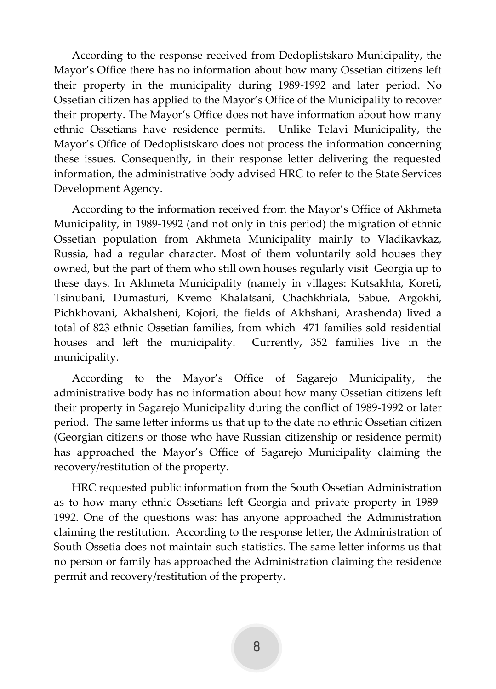According to the response received from Dedoplistskaro Municipality, the Mayor's Office there has no information about how many Ossetian citizens left their property in the municipality during 1989-1992 and later period. No Ossetian citizen has applied to the Mayor's Office of the Municipality to recover their property. The Mayor's Office does not have information about how many ethnic Ossetians have residence permits. Unlike Telavi Municipality, the Mayor's Office of Dedoplistskaro does not process the information concerning these issues. Consequently, in their response letter delivering the requested information, the administrative body advised HRC to refer to the State Services Development Agency.

According to the information received from the Mayor's Office of Akhmeta Municipality, in 1989-1992 (and not only in this period) the migration of ethnic Ossetian population from Akhmeta Municipality mainly to Vladikavkaz, Russia, had a regular character. Most of them voluntarily sold houses they owned, but the part of them who still own houses regularly visit Georgia up to these days. In Akhmeta Municipality (namely in villages: Kutsakhta, Koreti, Tsinubani, Dumasturi, Kvemo Khalatsani, Chachkhriala, Sabue, Argokhi, Pichkhovani, Akhalsheni, Kojori, the fields of Akhshani, Arashenda) lived a total of 823 ethnic Ossetian families, from which 471 families sold residential houses and left the municipality. Currently, 352 families live in the municipality.

According to the Mayor's Office of Sagarejo Municipality, the administrative body has no information about how many Ossetian citizens left their property in Sagarejo Municipality during the conflict of 1989-1992 or later period. The same letter informs us that up to the date no ethnic Ossetian citizen (Georgian citizens or those who have Russian citizenship or residence permit) has approached the Mayor's Office of Sagarejo Municipality claiming the recovery/restitution of the property.

HRC requested public information from the South Ossetian Administration as to how many ethnic Ossetians left Georgia and private property in 1989- 1992. One of the questions was: has anyone approached the Administration claiming the restitution. According to the response letter, the Administration of South Ossetia does not maintain such statistics. The same letter informs us that no person or family has approached the Administration claiming the residence permit and recovery/restitution of the property.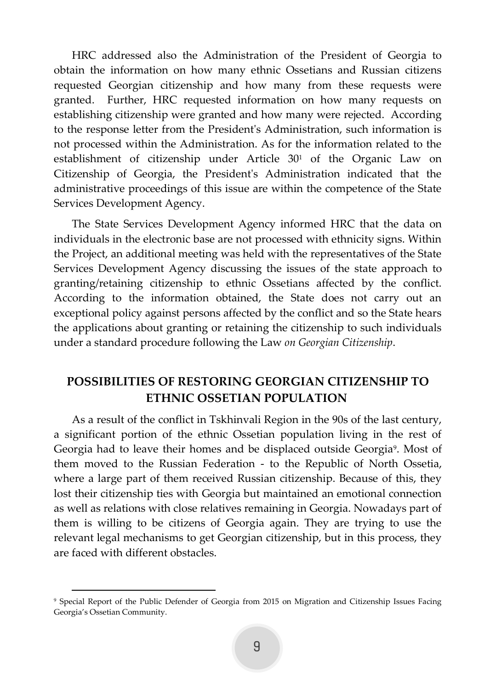HRC addressed also the Administration of the President of Georgia to obtain the information on how many ethnic Ossetians and Russian citizens requested Georgian citizenship and how many from these requests were granted. Further, HRC requested information on how many requests on establishing citizenship were granted and how many were rejected. According to the response letter from the President's Administration, such information is not processed within the Administration. As for the information related to the establishment of citizenship under Article 30<sup>1</sup> of the Organic Law on Citizenship of Georgia, the President's Administration indicated that the administrative proceedings of this issue are within the competence of the State Services Development Agency.

The State Services Development Agency informed HRC that the data on individuals in the electronic base are not processed with ethnicity signs. Within the Project, an additional meeting was held with the representatives of the State Services Development Agency discussing the issues of the state approach to granting/retaining citizenship to ethnic Ossetians affected by the conflict. According to the information obtained, the State does not carry out an exceptional policy against persons affected by the conflict and so the State hears the applications about granting or retaining the citizenship to such individuals under a standard procedure following the Law *on Georgian Citizenship*.

# <span id="page-9-0"></span>**POSSIBILITIES OF RESTORING GEORGIAN CITIZENSHIP TO ETHNIC OSSETIAN POPULATION**

As a result of the conflict in Tskhinvali Region in the 90s of the last century, a significant portion of the ethnic Ossetian population living in the rest of Georgia had to leave their homes and be displaced outside Georgia<sup>9</sup>. Most of them moved to the Russian Federation - to the Republic of North Ossetia, where a large part of them received Russian citizenship. Because of this, they lost their citizenship ties with Georgia but maintained an emotional connection as well as relations with close relatives remaining in Georgia. Nowadays part of them is willing to be citizens of Georgia again. They are trying to use the relevant legal mechanisms to get Georgian citizenship, but in this process, they are faced with different obstacles.

<sup>9</sup> Special Report of the Public Defender of Georgia from 2015 on Migration and Citizenship Issues Facing Georgia's Ossetian Community.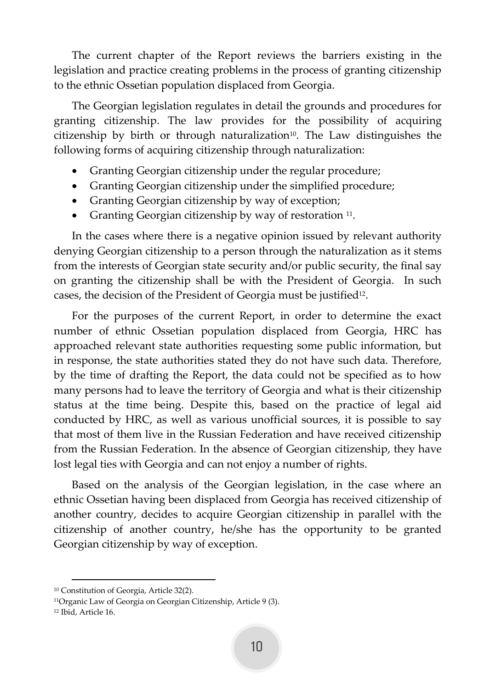The current chapter of the Report reviews the barriers existing in the legislation and practice creating problems in the process of granting citizenship to the ethnic Ossetian population displaced from Georgia.

The Georgian legislation regulates in detail the grounds and procedures for granting citizenship. The law provides for the possibility of acquiring citizenship by birth or through naturalization<sup>10</sup>. The Law distinguishes the following forms of acquiring citizenship through naturalization:

- Granting Georgian citizenship under the regular procedure;
- Granting Georgian citizenship under the simplified procedure;
- Granting Georgian citizenship by way of exception;
- Granting Georgian citizenship by way of restoration <sup>11</sup>.

In the cases where there is a negative opinion issued by relevant authority denying Georgian citizenship to a person through the naturalization as it stems from the interests of Georgian state security and/or public security, the final say on granting the citizenship shall be with the President of Georgia. In such cases, the decision of the President of Georgia must be justified<sup>12</sup>.

For the purposes of the current Report, in order to determine the exact number of ethnic Ossetian population displaced from Georgia, HRC has approached relevant state authorities requesting some public information, but in response, the state authorities stated they do not have such data. Therefore, by the time of drafting the Report, the data could not be specified as to how many persons had to leave the territory of Georgia and what is their citizenship status at the time being. Despite this, based on the practice of legal aid conducted by HRC, as well as various unofficial sources, it is possible to say that most of them live in the Russian Federation and have received citizenship from the Russian Federation. In the absence of Georgian citizenship, they have lost legal ties with Georgia and can not enjoy a number of rights.

Based on the analysis of the Georgian legislation, in the case where an ethnic Ossetian having been displaced from Georgia has received citizenship of another country, decides to acquire Georgian citizenship in parallel with the citizenship of another country, he/she has the opportunity to be granted Georgian citizenship by way of exception.

<sup>10</sup> Constitution of Georgia, Article 32(2).

<sup>11</sup>Organic Law of Georgia on Georgian Citizenship, Article 9 (3).

<sup>12</sup> Ibid, Article 16.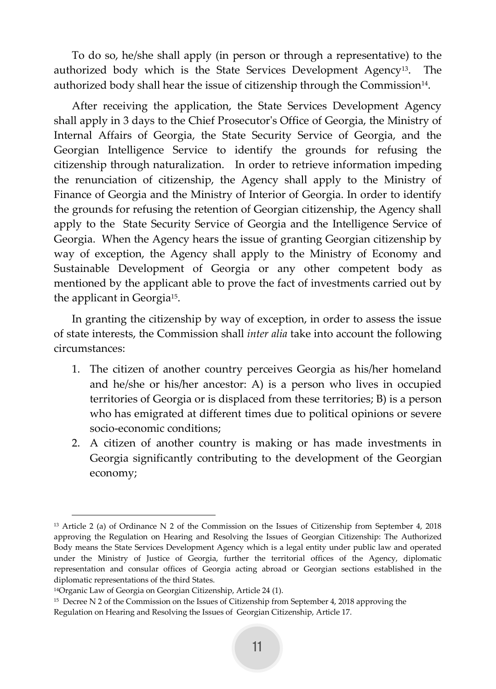To do so, he/she shall apply (in person or through a representative) to the authorized body which is the State Services Development Agency13. The authorized body shall hear the issue of citizenship through the Commission $^{\scriptstyle 14}$ .

After receiving the application, the State Services Development Agency shall apply in 3 days to the Chief Prosecutor's Office of Georgia, the Ministry of Internal Affairs of Georgia, the State Security Service of Georgia, and the Georgian Intelligence Service to identify the grounds for refusing the citizenship through naturalization. In order to retrieve information impeding the renunciation of citizenship, the Agency shall apply to the Ministry of Finance of Georgia and the Ministry of Interior of Georgia. In order to identify the grounds for refusing the retention of Georgian citizenship, the Agency shall apply to the State Security Service of Georgia and the Intelligence Service of Georgia. When the Agency hears the issue of granting Georgian citizenship by way of exception, the Agency shall apply to the Ministry of Economy and Sustainable Development of Georgia or any other competent body as mentioned by the applicant able to prove the fact of investments carried out by the applicant in Georgia<sup>15</sup> .

In granting the citizenship by way of exception, in order to assess the issue of state interests, the Commission shall *inter alia* take into account the following circumstances:

- 1. The citizen of another country perceives Georgia as his/her homeland and he/she or his/her ancestor: A) is a person who lives in occupied territories of Georgia or is displaced from these territories; B) is a person who has emigrated at different times due to political opinions or severe socio-economic conditions;
- 2. A citizen of another country is making or has made investments in Georgia significantly contributing to the development of the Georgian economy;

<sup>13</sup> Article 2 (a) of Ordinance N 2 of the Commission on the Issues of Citizenship from September 4, 2018 approving the Regulation on Hearing and Resolving the Issues of Georgian Citizenship: The Authorized Body means the State Services Development Agency which is a legal entity under public law and operated under the Ministry of Justice of Georgia, further the territorial offices of the Agency, diplomatic representation and consular offices of Georgia acting abroad or Georgian sections established in the diplomatic representations of the third States.

<sup>14</sup>Organic Law of Georgia on Georgian Citizenship, Article 24 (1).

<sup>&</sup>lt;sup>15</sup> Decree N 2 of the Commission on the Issues of Citizenship from September 4, 2018 approving the Regulation on Hearing and Resolving the Issues of Georgian Citizenship, Article 17.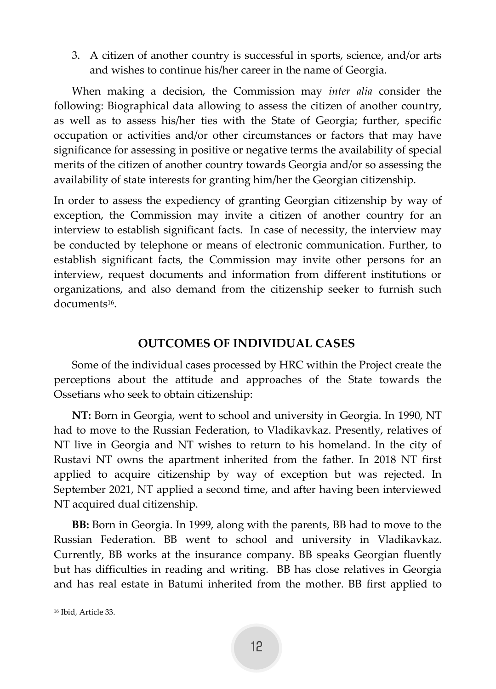3. A citizen of another country is successful in sports, science, and/or arts and wishes to continue his/her career in the name of Georgia.

When making a decision, the Commission may *inter alia* consider the following: Biographical data allowing to assess the citizen of another country, as well as to assess his/her ties with the State of Georgia; further, specific occupation or activities and/or other circumstances or factors that may have significance for assessing in positive or negative terms the availability of special merits of the citizen of another country towards Georgia and/or so assessing the availability of state interests for granting him/her the Georgian citizenship.

In order to assess the expediency of granting Georgian citizenship by way of exception, the Commission may invite a citizen of another country for an interview to establish significant facts. In case of necessity, the interview may be conducted by telephone or means of electronic communication. Further, to establish significant facts, the Commission may invite other persons for an interview, request documents and information from different institutions or organizations, and also demand from the citizenship seeker to furnish such documents<sup>16</sup>.

### **OUTCOMES OF INDIVIDUAL CASES**

<span id="page-12-0"></span>Some of the individual cases processed by HRC within the Project create the perceptions about the attitude and approaches of the State towards the Ossetians who seek to obtain citizenship:

**NT:** Born in Georgia, went to school and university in Georgia. In 1990, NT had to move to the Russian Federation, to Vladikavkaz. Presently, relatives of NT live in Georgia and NT wishes to return to his homeland. In the city of Rustavi NT owns the apartment inherited from the father. In 2018 NT first applied to acquire citizenship by way of exception but was rejected. In September 2021, NT applied a second time, and after having been interviewed NT acquired dual citizenship.

**BB:** Born in Georgia. In 1999, along with the parents, BB had to move to the Russian Federation. BB went to school and university in Vladikavkaz. Currently, BB works at the insurance company. BB speaks Georgian fluently but has difficulties in reading and writing. BB has close relatives in Georgia and has real estate in Batumi inherited from the mother. BB first applied to

<sup>16</sup> Ibid, Article 33.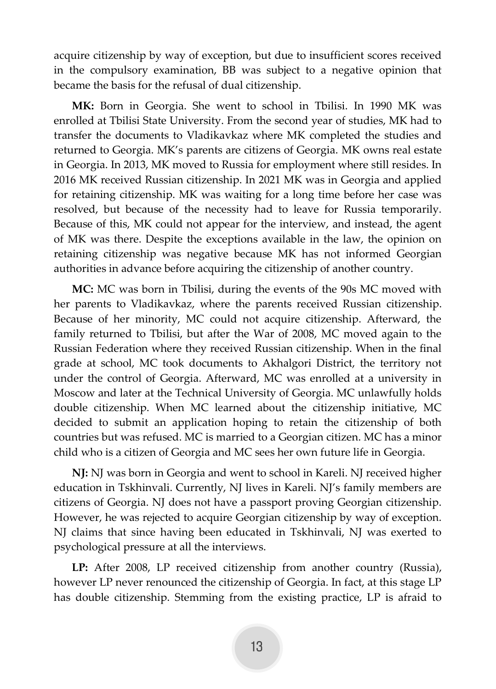acquire citizenship by way of exception, but due to insufficient scores received in the compulsory examination, BB was subject to a negative opinion that became the basis for the refusal of dual citizenship.

**MK:** Born in Georgia. She went to school in Tbilisi. In 1990 MK was enrolled at Tbilisi State University. From the second year of studies, MK had to transfer the documents to Vladikavkaz where MK completed the studies and returned to Georgia. MK's parents are citizens of Georgia. MK owns real estate in Georgia. In 2013, MK moved to Russia for employment where still resides. In 2016 MK received Russian citizenship. In 2021 MK was in Georgia and applied for retaining citizenship. MK was waiting for a long time before her case was resolved, but because of the necessity had to leave for Russia temporarily. Because of this, MK could not appear for the interview, and instead, the agent of MK was there. Despite the exceptions available in the law, the opinion on retaining citizenship was negative because MK has not informed Georgian authorities in advance before acquiring the citizenship of another country.

**MC:** MC was born in Tbilisi, during the events of the 90s MC moved with her parents to Vladikavkaz, where the parents received Russian citizenship. Because of her minority, MC could not acquire citizenship. Afterward, the family returned to Tbilisi, but after the War of 2008, MC moved again to the Russian Federation where they received Russian citizenship. When in the final grade at school, MC took documents to Akhalgori District, the territory not under the control of Georgia. Afterward, MC was enrolled at a university in Moscow and later at the Technical University of Georgia. MC unlawfully holds double citizenship. When MC learned about the citizenship initiative, MC decided to submit an application hoping to retain the citizenship of both countries but was refused. MC is married to a Georgian citizen. MC has a minor child who is a citizen of Georgia and MC sees her own future life in Georgia.

**NJ:** NJ was born in Georgia and went to school in Kareli. NJ received higher education in Tskhinvali. Currently, NJ lives in Kareli. NJ's family members are citizens of Georgia. NJ does not have a passport proving Georgian citizenship. However, he was rejected to acquire Georgian citizenship by way of exception. NJ claims that since having been educated in Tskhinvali, NJ was exerted to psychological pressure at all the interviews.

**LP:** After 2008, LP received citizenship from another country (Russia), however LP never renounced the citizenship of Georgia. In fact, at this stage LP has double citizenship. Stemming from the existing practice, LP is afraid to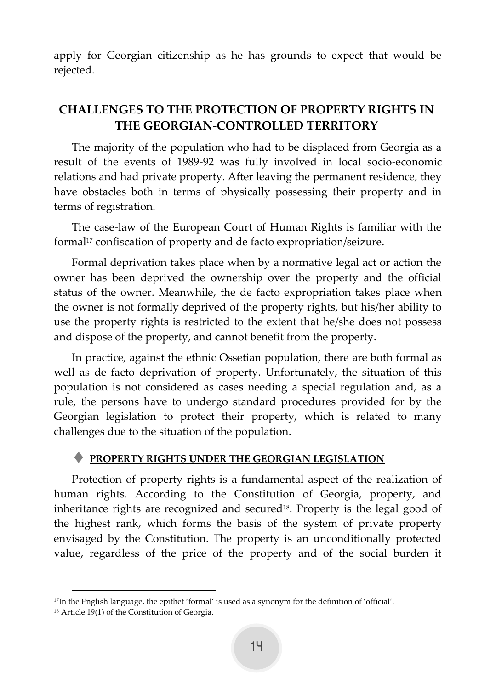apply for Georgian citizenship as he has grounds to expect that would be rejected.

# <span id="page-14-0"></span>**CHALLENGES TO THE PROTECTION OF PROPERTY RIGHTS IN THE GEORGIAN-CONTROLLED TERRITORY**

The majority of the population who had to be displaced from Georgia as a result of the events of 1989-92 was fully involved in local socio-economic relations and had private property. After leaving the permanent residence, they have obstacles both in terms of physically possessing their property and in terms of registration.

The case-law of the European Court of Human Rights is familiar with the formal<sup>17</sup> confiscation of property and de facto expropriation/seizure.

Formal deprivation takes place when by a normative legal act or action the owner has been deprived the ownership over the property and the official status of the owner. Meanwhile, the de facto expropriation takes place when the owner is not formally deprived of the property rights, but his/her ability to use the property rights is restricted to the extent that he/she does not possess and dispose of the property, and cannot benefit from the property.

In practice, against the ethnic Ossetian population, there are both formal as well as de facto deprivation of property. Unfortunately, the situation of this population is not considered as cases needing a special regulation and, as a rule, the persons have to undergo standard procedures provided for by the Georgian legislation to protect their property, which is related to many challenges due to the situation of the population.

### <span id="page-14-1"></span>**PROPERTY RIGHTS UNDER THE GEORGIAN LEGISLATION**

Protection of property rights is a fundamental aspect of the realization of human rights. According to the Constitution of Georgia, property, and inheritance rights are recognized and secured<sup>18</sup>. Property is the legal good of the highest rank, which forms the basis of the system of private property envisaged by the Constitution. The property is an unconditionally protected value, regardless of the price of the property and of the social burden it

<sup>17</sup>In the English language, the epithet 'formal' is used as a synonym for the definition of 'official'.

<sup>18</sup> Article 19(1) of the Constitution of Georgia.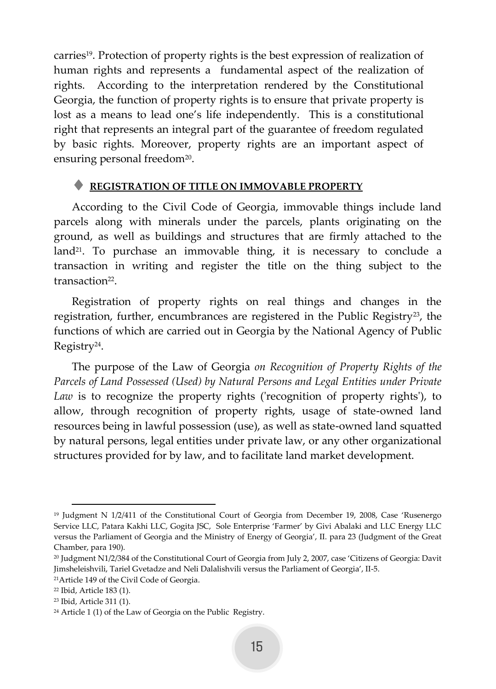carries19. Protection of property rights is the best expression of realization of human rights and represents a fundamental aspect of the realization of rights. According to the interpretation rendered by the Constitutional Georgia, the function of property rights is to ensure that private property is lost as a means to lead one's life independently. This is a constitutional right that represents an integral part of the guarantee of freedom regulated by basic rights. Moreover, property rights are an important aspect of ensuring personal freedom<sup>20</sup>.

### <span id="page-15-0"></span>**REGISTRATION OF TITLE ON IMMOVABLE PROPERTY**

According to the Civil Code of Georgia, immovable things include land parcels along with minerals under the parcels, plants originating on the ground, as well as buildings and structures that are firmly attached to the land<sup>21</sup>. To purchase an immovable thing, it is necessary to conclude a transaction in writing and register the title on the thing subject to the transaction<sup>22</sup>.

Registration of property rights on real things and changes in the registration, further, encumbrances are registered in the Public Registry<sup>23</sup>, the functions of which are carried out in Georgia by the National Agency of Public Registry<sup>24</sup> .

The purpose of the Law of Georgia *on Recognition of Property Rights of the Parcels of Land Possessed (Used) by Natural Persons and Legal Entities under Private*  Law is to recognize the property rights ('recognition of property rights'), to allow, through recognition of property rights, usage of state-owned land resources being in lawful possession (use), as well as state-owned land squatted by natural persons, legal entities under private law, or any other organizational structures provided for by law, and to facilitate land market development.

<sup>19</sup> Judgment N 1/2/411 of the Constitutional Court of Georgia from December 19, 2008, Case 'Rusenergo Service LLC, Patara Kakhi LLC, Gogita JSC, Sole Enterprise 'Farmer' by Givi Abalaki and LLC Energy LLC versus the Parliament of Georgia and the Ministry of Energy of Georgia', II. para 23 (Judgment of the Great Chamber, para 190).

<sup>20</sup> Judgment N1/2/384 of the Constitutional Court of Georgia from July 2, 2007, case 'Citizens of Georgia: Davit Jimsheleishvili, Tariel Gvetadze and Neli Dalalishvili versus the Parliament of Georgia', II-5.

<sup>21</sup>Article 149 of the Civil Code of Georgia.

<sup>22</sup> Ibid, Article 183 (1).

<sup>23</sup> Ibid, Article 311 (1).

<sup>24</sup> Article 1 (1) of the Law of Georgia on the Public Registry.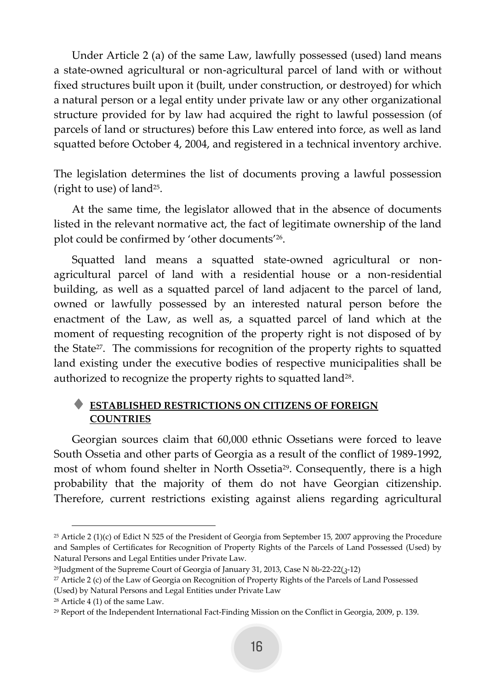Under Article 2 (a) of the same Law, lawfully possessed (used) land means a state-owned agricultural or non-agricultural parcel of land with or without fixed structures built upon it (built, under construction, or destroyed) for which a natural person or a legal entity under private law or any other organizational structure provided for by law had acquired the right to lawful possession (of parcels of land or structures) before this Law entered into force, as well as land squatted before October 4, 2004, and registered in a technical inventory archive.

The legislation determines the list of documents proving a lawful possession (right to use) of land<sup>25</sup> .

At the same time, the legislator allowed that in the absence of documents listed in the relevant normative act, the fact of legitimate ownership of the land plot could be confirmed by 'other documents'<sup>26</sup> .

Squatted land means a squatted state-owned agricultural or nonagricultural parcel of land with a residential house or a non-residential building, as well as a squatted parcel of land adjacent to the parcel of land, owned or lawfully possessed by an interested natural person before the enactment of the Law, as well as, a squatted parcel of land which at the moment of requesting recognition of the property right is not disposed of by the State<sup>27</sup>. The commissions for recognition of the property rights to squatted land existing under the executive bodies of respective municipalities shall be authorized to recognize the property rights to squatted land $^{\scriptscriptstyle 28}$ .

# <span id="page-16-0"></span> **ESTABLISHED RESTRICTIONS ON CITIZENS OF FOREIGN COUNTRIES**

Georgian sources claim that 60,000 ethnic Ossetians were forced to leave South Ossetia and other parts of Georgia as a result of the conflict of 1989-1992, most of whom found shelter in North Ossetia<sup>29</sup>. Consequently, there is a high probability that the majority of them do not have Georgian citizenship. Therefore, current restrictions existing against aliens regarding agricultural

<sup>&</sup>lt;sup>25</sup> Article 2 (1)(c) of Edict N 525 of the President of Georgia from September 15, 2007 approving the Procedure and Samples of Certificates for Recognition of Property Rights of the Parcels of Land Possessed (Used) by Natural Persons and Legal Entities under Private Law.

<sup>&</sup>lt;sup>26</sup>Judgment of the Supreme Court of Georgia of January 31, 2013, Case N δυ-22-22(3-12)

<sup>27</sup> Article 2 (c) of the Law of Georgia on Recognition of Property Rights of the Parcels of Land Possessed (Used) by Natural Persons and Legal Entities under Private Law

<sup>28</sup> Article 4 (1) of the same Law.

<sup>29</sup> Report of the Independent International Fact-Finding Mission on the Conflict in Georgia, 2009, p. 139.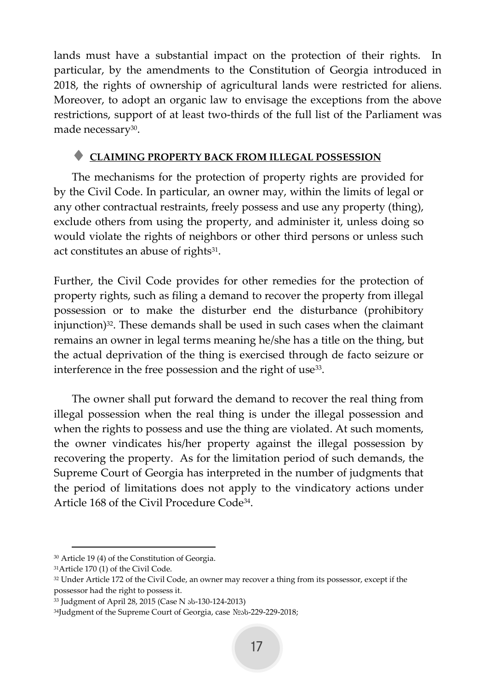lands must have a substantial impact on the protection of their rights. In particular, by the amendments to the Constitution of Georgia introduced in 2018, the rights of ownership of agricultural lands were restricted for aliens. Moreover, to adopt an organic law to envisage the exceptions from the above restrictions, support of at least two-thirds of the full list of the Parliament was made necessary<sup>30</sup>.

### <span id="page-17-0"></span>**CLAIMING PROPERTY BACK FROM ILLEGAL POSSESSION**

The mechanisms for the protection of property rights are provided for by the Civil Code. In particular, an owner may, within the limits of legal or any other contractual restraints, freely possess and use any property (thing), exclude others from using the property, and administer it, unless doing so would violate the rights of neighbors or other third persons or unless such act constitutes an abuse of rights<sup>31</sup>.

Further, the Civil Code provides for other remedies for the protection of property rights, such as filing a demand to recover the property from illegal possession or to make the disturber end the disturbance (prohibitory injunction)<sup>32</sup>. These demands shall be used in such cases when the claimant remains an owner in legal terms meaning he/she has a title on the thing, but the actual deprivation of the thing is exercised through de facto seizure or interference in the free possession and the right of use $^{33}$ .

The owner shall put forward the demand to recover the real thing from illegal possession when the real thing is under the illegal possession and when the rights to possess and use the thing are violated. At such moments, the owner vindicates his/her property against the illegal possession by recovering the property. As for the limitation period of such demands, the Supreme Court of Georgia has interpreted in the number of judgments that the period of limitations does not apply to the vindicatory actions under Article 168 of the Civil Procedure Code<sup>34</sup> .

<sup>30</sup> Article 19 (4) of the Constitution of Georgia.

<sup>31</sup>Article 170 (1) of the Civil Code.

<sup>&</sup>lt;sup>32</sup> Under Article 172 of the Civil Code, an owner may recover a thing from its possessor, except if the possessor had the right to possess it.

<sup>33</sup> Judgment of April 28, 2015 (Case N ას-130-124-2013)

<sup>34</sup>Judgment of the Supreme Court of Georgia, case NºSb-229-229-2018;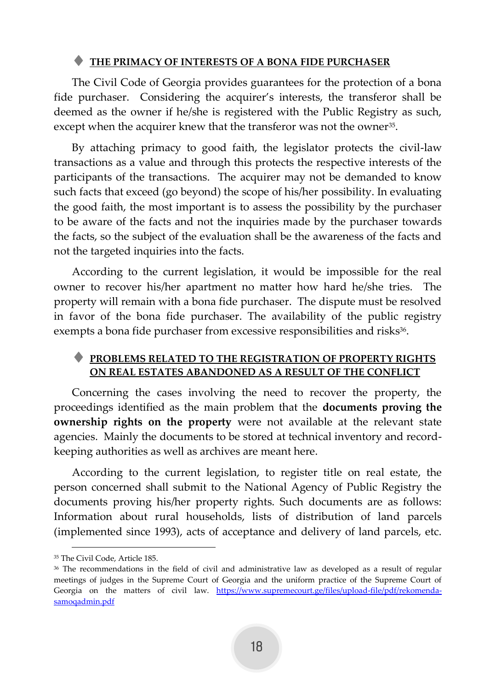### <span id="page-18-0"></span>**THE PRIMACY OF INTERESTS OF A BONA FIDE PURCHASER**

The Civil Code of Georgia provides guarantees for the protection of a bona fide purchaser. Considering the acquirer's interests, the transferor shall be deemed as the owner if he/she is registered with the Public Registry as such, except when the acquirer knew that the transferor was not the owner<sup>35</sup>.

By attaching primacy to good faith, the legislator protects the civil-law transactions as a value and through this protects the respective interests of the participants of the transactions. The acquirer may not be demanded to know such facts that exceed (go beyond) the scope of his/her possibility. In evaluating the good faith, the most important is to assess the possibility by the purchaser to be aware of the facts and not the inquiries made by the purchaser towards the facts, so the subject of the evaluation shall be the awareness of the facts and not the targeted inquiries into the facts.

According to the current legislation, it would be impossible for the real owner to recover his/her apartment no matter how hard he/she tries. The property will remain with a bona fide purchaser. The dispute must be resolved in favor of the bona fide purchaser. The availability of the public registry exempts a bona fide purchaser from excessive responsibilities and risks<sup>36</sup>.

### <span id="page-18-1"></span> **PROBLEMS RELATED TO THE REGISTRATION OF PROPERTY RIGHTS ON REAL ESTATES ABANDONED AS A RESULT OF THE CONFLICT**

Concerning the cases involving the need to recover the property, the proceedings identified as the main problem that the **documents proving the ownership rights on the property** were not available at the relevant state agencies. Mainly the documents to be stored at technical inventory and recordkeeping authorities as well as archives are meant here.

According to the current legislation, to register title on real estate, the person concerned shall submit to the National Agency of Public Registry the documents proving his/her property rights. Such documents are as follows: Information about rural households, lists of distribution of land parcels (implemented since 1993), acts of acceptance and delivery of land parcels, etc.

<sup>35</sup> The Civil Code, Article 185.

<sup>&</sup>lt;sup>36</sup> The recommendations in the field of civil and administrative law as developed as a result of regular meetings of judges in the Supreme Court of Georgia and the uniform practice of the Supreme Court of Georgia on the matters of civil law. [https://www.supremecourt.ge/files/upload-file/pdf/rekomenda](https://www.supremecourt.ge/files/upload-file/pdf/rekomenda-samoqadmin.pdf)[samoqadmin.pdf](https://www.supremecourt.ge/files/upload-file/pdf/rekomenda-samoqadmin.pdf)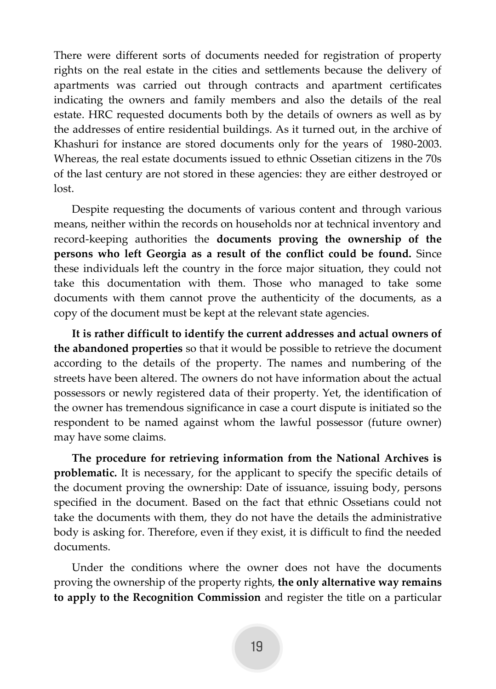There were different sorts of documents needed for registration of property rights on the real estate in the cities and settlements because the delivery of apartments was carried out through contracts and apartment certificates indicating the owners and family members and also the details of the real estate. HRC requested documents both by the details of owners as well as by the addresses of entire residential buildings. As it turned out, in the archive of Khashuri for instance are stored documents only for the years of 1980-2003. Whereas, the real estate documents issued to ethnic Ossetian citizens in the 70s of the last century are not stored in these agencies: they are either destroyed or lost.

Despite requesting the documents of various content and through various means, neither within the records on households nor at technical inventory and record-keeping authorities the **documents proving the ownership of the persons who left Georgia as a result of the conflict could be found.** Since these individuals left the country in the force major situation, they could not take this documentation with them. Those who managed to take some documents with them cannot prove the authenticity of the documents, as a copy of the document must be kept at the relevant state agencies.

**It is rather difficult to identify the current addresses and actual owners of the abandoned properties** so that it would be possible to retrieve the document according to the details of the property. The names and numbering of the streets have been altered. The owners do not have information about the actual possessors or newly registered data of their property. Yet, the identification of the owner has tremendous significance in case a court dispute is initiated so the respondent to be named against whom the lawful possessor (future owner) may have some claims.

**The procedure for retrieving information from the National Archives is problematic.** It is necessary, for the applicant to specify the specific details of the document proving the ownership: Date of issuance, issuing body, persons specified in the document. Based on the fact that ethnic Ossetians could not take the documents with them, they do not have the details the administrative body is asking for. Therefore, even if they exist, it is difficult to find the needed documents.

Under the conditions where the owner does not have the documents proving the ownership of the property rights, **the only alternative way remains to apply to the Recognition Commission** and register the title on a particular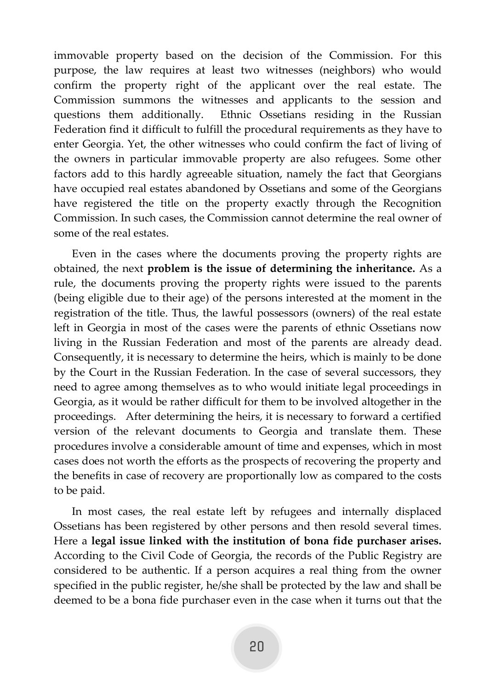immovable property based on the decision of the Commission. For this purpose, the law requires at least two witnesses (neighbors) who would confirm the property right of the applicant over the real estate. The Commission summons the witnesses and applicants to the session and questions them additionally. Ethnic Ossetians residing in the Russian Federation find it difficult to fulfill the procedural requirements as they have to enter Georgia. Yet, the other witnesses who could confirm the fact of living of the owners in particular immovable property are also refugees. Some other factors add to this hardly agreeable situation, namely the fact that Georgians have occupied real estates abandoned by Ossetians and some of the Georgians have registered the title on the property exactly through the Recognition Commission. In such cases, the Commission cannot determine the real owner of some of the real estates.

Even in the cases where the documents proving the property rights are obtained, the next **problem is the issue of determining the inheritance.** As a rule, the documents proving the property rights were issued to the parents (being eligible due to their age) of the persons interested at the moment in the registration of the title. Thus, the lawful possessors (owners) of the real estate left in Georgia in most of the cases were the parents of ethnic Ossetians now living in the Russian Federation and most of the parents are already dead. Consequently, it is necessary to determine the heirs, which is mainly to be done by the Court in the Russian Federation. In the case of several successors, they need to agree among themselves as to who would initiate legal proceedings in Georgia, as it would be rather difficult for them to be involved altogether in the proceedings. After determining the heirs, it is necessary to forward a certified version of the relevant documents to Georgia and translate them. These procedures involve a considerable amount of time and expenses, which in most cases does not worth the efforts as the prospects of recovering the property and the benefits in case of recovery are proportionally low as compared to the costs to be paid.

In most cases, the real estate left by refugees and internally displaced Ossetians has been registered by other persons and then resold several times. Here a **legal issue linked with the institution of bona fide purchaser arises.** According to the Civil Code of Georgia, the records of the Public Registry are considered to be authentic. If a person acquires a real thing from the owner specified in the public register, he/she shall be protected by the law and shall be deemed to be a bona fide purchaser even in the case when it turns out that the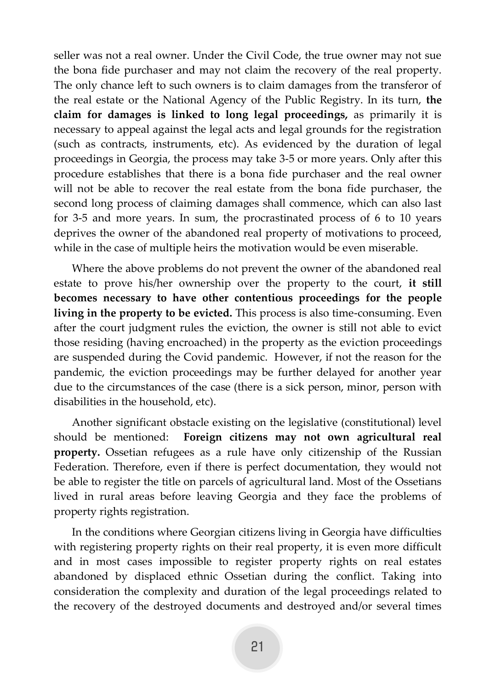seller was not a real owner. Under the Civil Code, the true owner may not sue the bona fide purchaser and may not claim the recovery of the real property. The only chance left to such owners is to claim damages from the transferor of the real estate or the National Agency of the Public Registry. In its turn, **the claim for damages is linked to long legal proceedings,** as primarily it is necessary to appeal against the legal acts and legal grounds for the registration (such as contracts, instruments, etc). As evidenced by the duration of legal proceedings in Georgia, the process may take 3-5 or more years. Only after this procedure establishes that there is a bona fide purchaser and the real owner will not be able to recover the real estate from the bona fide purchaser, the second long process of claiming damages shall commence, which can also last for 3-5 and more years. In sum, the procrastinated process of 6 to 10 years deprives the owner of the abandoned real property of motivations to proceed, while in the case of multiple heirs the motivation would be even miserable.

Where the above problems do not prevent the owner of the abandoned real estate to prove his/her ownership over the property to the court, **it still becomes necessary to have other contentious proceedings for the people living in the property to be evicted.** This process is also time-consuming. Even after the court judgment rules the eviction, the owner is still not able to evict those residing (having encroached) in the property as the eviction proceedings are suspended during the Covid pandemic. However, if not the reason for the pandemic, the eviction proceedings may be further delayed for another year due to the circumstances of the case (there is a sick person, minor, person with disabilities in the household, etc).

Another significant obstacle existing on the legislative (constitutional) level should be mentioned: **Foreign citizens may not own agricultural real property.** Ossetian refugees as a rule have only citizenship of the Russian Federation. Therefore, even if there is perfect documentation, they would not be able to register the title on parcels of agricultural land. Most of the Ossetians lived in rural areas before leaving Georgia and they face the problems of property rights registration.

In the conditions where Georgian citizens living in Georgia have difficulties with registering property rights on their real property, it is even more difficult and in most cases impossible to register property rights on real estates abandoned by displaced ethnic Ossetian during the conflict. Taking into consideration the complexity and duration of the legal proceedings related to the recovery of the destroyed documents and destroyed and/or several times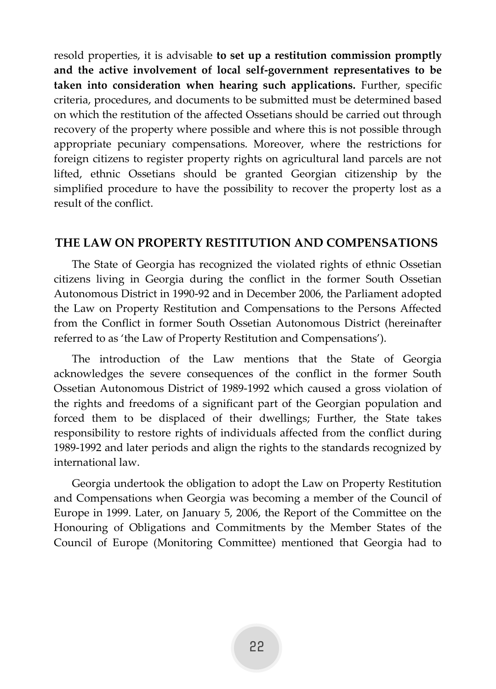resold properties, it is advisable **to set up a restitution commission promptly and the active involvement of local self-government representatives to be taken into consideration when hearing such applications.** Further, specific criteria, procedures, and documents to be submitted must be determined based on which the restitution of the affected Ossetians should be carried out through recovery of the property where possible and where this is not possible through appropriate pecuniary compensations. Moreover, where the restrictions for foreign citizens to register property rights on agricultural land parcels are not lifted, ethnic Ossetians should be granted Georgian citizenship by the simplified procedure to have the possibility to recover the property lost as a result of the conflict.

### <span id="page-22-0"></span>**THE LAW ON PROPERTY RESTITUTION AND COMPENSATIONS**

The State of Georgia has recognized the violated rights of ethnic Ossetian citizens living in Georgia during the conflict in the former South Ossetian Autonomous District in 1990-92 and in December 2006, the Parliament adopted the Law on Property Restitution and Compensations to the Persons Affected from the Conflict in former South Ossetian Autonomous District (hereinafter referred to as 'the Law of Property Restitution and Compensations').

The introduction of the Law mentions that the State of Georgia acknowledges the severe consequences of the conflict in the former South Ossetian Autonomous District of 1989-1992 which caused a gross violation of the rights and freedoms of a significant part of the Georgian population and forced them to be displaced of their dwellings; Further, the State takes responsibility to restore rights of individuals affected from the conflict during 1989-1992 and later periods and align the rights to the standards recognized by international law.

Georgia undertook the obligation to adopt the Law on Property Restitution and Compensations when Georgia was becoming a member of the Council of Europe in 1999. Later, on January 5, 2006, the Report of the Committee on the Honouring of Obligations and Commitments by the Member States of the Council of Europe (Monitoring Committee) mentioned that Georgia had to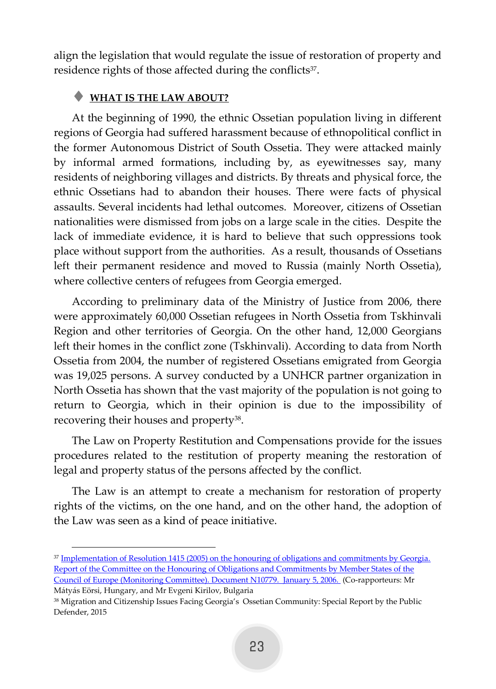align the legislation that would regulate the issue of restoration of property and residence rights of those affected during the conflicts<sup>37</sup>.

### <span id="page-23-0"></span>**WHAT IS THE LAW ABOUT?**

At the beginning of 1990, the ethnic Ossetian population living in different regions of Georgia had suffered harassment because of ethnopolitical conflict in the former Autonomous District of South Ossetia. They were attacked mainly by informal armed formations, including by, as eyewitnesses say, many residents of neighboring villages and districts. By threats and physical force, the ethnic Ossetians had to abandon their houses. There were facts of physical assaults. Several incidents had lethal outcomes. Moreover, citizens of Ossetian nationalities were dismissed from jobs on a large scale in the cities. Despite the lack of immediate evidence, it is hard to believe that such oppressions took place without support from the authorities. As a result, thousands of Ossetians left their permanent residence and moved to Russia (mainly North Ossetia), where collective centers of refugees from Georgia emerged.

According to preliminary data of the Ministry of Justice from 2006, there were approximately 60,000 Ossetian refugees in North Ossetia from Tskhinvali Region and other territories of Georgia. On the other hand, 12,000 Georgians left their homes in the conflict zone (Tskhinvali). According to data from North Ossetia from 2004, the number of registered Ossetians emigrated from Georgia was 19,025 persons. A survey conducted by a UNHCR partner organization in North Ossetia has shown that the vast majority of the population is not going to return to Georgia, which in their opinion is due to the impossibility of recovering their houses and property<sup>38</sup>.

The Law on Property Restitution and Compensations provide for the issues procedures related to the restitution of property meaning the restoration of legal and property status of the persons affected by the conflict.

The Law is an attempt to create a mechanism for restoration of property rights of the victims, on the one hand, and on the other hand, the adoption of the Law was seen as a kind of peace initiative.

Defender, 2015

<sup>37</sup> [Implementation of Resolution 1415 \(2005\) on the honouring of obligations and commitments by Georgia.](chrome-extension:%20//%20Efaidnbnnnibpcajpcglclefindmkaj%20/%20viewer.html?pdfurl=https://rm.coe.int/168008eb89&clen=399993) [Report of the Committee on the Honouring of Obligations and Commitments by Member States of the](chrome-extension:%20//%20Efaidnbnnnibpcajpcglclefindmkaj%20/%20viewer.html?pdfurl=https://rm.coe.int/168008eb89&clen=399993)  [Council of Europe \(Monitoring Committee\).](chrome-extension:%20//%20Efaidnbnnnibpcajpcglclefindmkaj%20/%20viewer.html?pdfurl=https://rm.coe.int/168008eb89&clen=399993) [Document N10779. January 5, 2006. \(](chrome-extension:%20//%20Efaidnbnnnibpcajpcglclefindmkaj%20/%20viewer.html?pdfurl=https://rm.coe.int/168008eb89&clen=399993)Co-rapporteurs: Mr

Mátyás Eörsi, Hungary, and Mr Evgeni Kirilov, Bulgaria <sup>38</sup> Migration and Citizenship Issues Facing Georgia's Ossetian Community: Special Report by the Public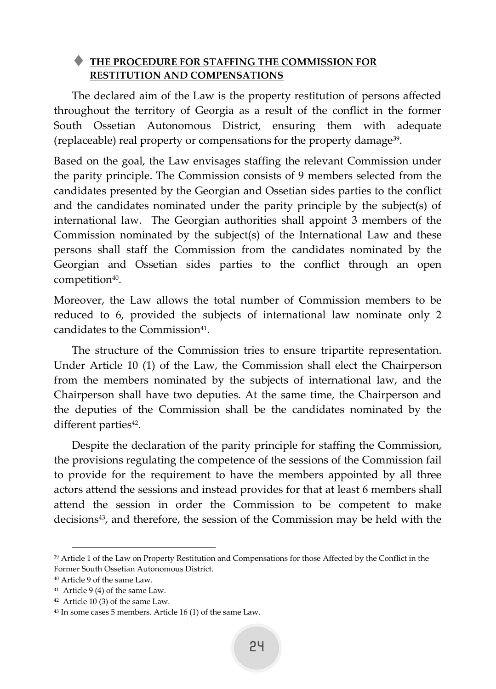### <span id="page-24-0"></span> **THE PROCEDURE FOR STAFFING THE COMMISSION FOR RESTITUTION AND COMPENSATIONS**

The declared aim of the Law is the property restitution of persons affected throughout the territory of Georgia as a result of the conflict in the former South Ossetian Autonomous District, ensuring them with adequate (replaceable) real property or compensations for the property damage<sup>39</sup> .

Based on the goal, the Law envisages staffing the relevant Commission under the parity principle. The Commission consists of 9 members selected from the candidates presented by the Georgian and Ossetian sides parties to the conflict and the candidates nominated under the parity principle by the subject(s) of international law. The Georgian authorities shall appoint 3 members of the Commission nominated by the subject(s) of the International Law and these persons shall staff the Commission from the candidates nominated by the Georgian and Ossetian sides parties to the conflict through an open competition<sup>40</sup>.

Moreover, the Law allows the total number of Commission members to be reduced to 6, provided the subjects of international law nominate only 2 candidates to the Commission<sup>41</sup>.

The structure of the Commission tries to ensure tripartite representation. Under Article 10 (1) of the Law, the Commission shall elect the Chairperson from the members nominated by the subjects of international law, and the Chairperson shall have two deputies. At the same time, the Chairperson and the deputies of the Commission shall be the candidates nominated by the different parties<sup>42</sup>.

Despite the declaration of the parity principle for staffing the Commission, the provisions regulating the competence of the sessions of the Commission fail to provide for the requirement to have the members appointed by all three actors attend the sessions and instead provides for that at least 6 members shall attend the session in order the Commission to be competent to make decisions<sup>43</sup>, and therefore, the session of the Commission may be held with the

<sup>39</sup> Article 1 of th[e Law on Property Restitution and Compensations for those Affected by the Conflict in the](https://matsne.gov.ge/ka/document/view/23050?publication=4#!)  [Former South Ossetian Autonomous District.](https://matsne.gov.ge/ka/document/view/23050?publication=4#!)

<sup>40</sup> Article 9 of the same Law.

<sup>41</sup> Article 9 (4) of the same Law.

<sup>42</sup> Article 10 (3) of the same Law.

<sup>43</sup> In some cases 5 members. Article 16 (1) of the same Law.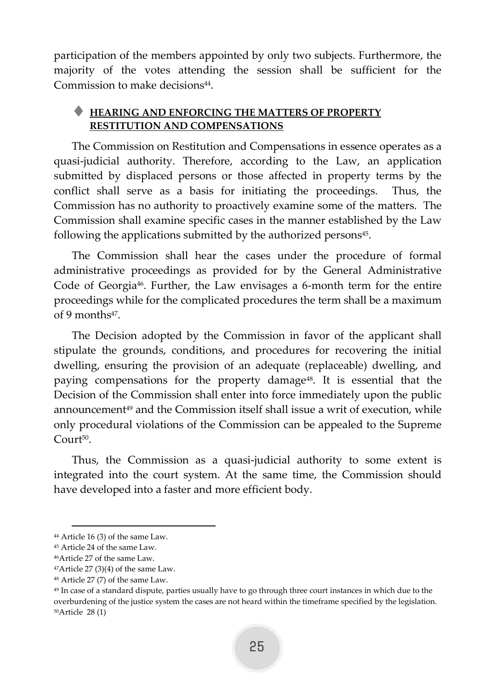participation of the members appointed by only two subjects. Furthermore, the majority of the votes attending the session shall be sufficient for the Commission to make decisions<sup>44</sup>.

### <span id="page-25-0"></span> **HEARING AND ENFORCING THE MATTERS OF PROPERTY RESTITUTION AND COMPENSATIONS**

The Commission on Restitution and Compensations in essence operates as a quasi-judicial authority. Therefore, according to the Law, an application submitted by displaced persons or those affected in property terms by the conflict shall serve as a basis for initiating the proceedings. Thus, the Commission has no authority to proactively examine some of the matters. The Commission shall examine specific cases in the manner established by the Law following the applications submitted by the authorized persons<sup>45</sup>.

The Commission shall hear the cases under the procedure of formal administrative proceedings as provided for by the General Administrative Code of Georgia<sup>46</sup>. Further, the Law envisages a 6-month term for the entire proceedings while for the complicated procedures the term shall be a maximum of 9 months<sup>47</sup>.

The Decision adopted by the Commission in favor of the applicant shall stipulate the grounds, conditions, and procedures for recovering the initial dwelling, ensuring the provision of an adequate (replaceable) dwelling, and paying compensations for the property damage48. It is essential that the Decision of the Commission shall enter into force immediately upon the public announcement<sup>49</sup> and the Commission itself shall issue a writ of execution, while only procedural violations of the Commission can be appealed to the Supreme Court<sup>50</sup>.

Thus, the Commission as a quasi-judicial authority to some extent is integrated into the court system. At the same time, the Commission should have developed into a faster and more efficient body.

<sup>44</sup> Article 16 (3) of the same Law.

<sup>45</sup> Article 24 of the same Law.

<sup>46</sup>Article 27 of the same Law.

 $47$ Article 27 (3)(4) of the same Law.

<sup>48</sup> Article 27 (7) of the same Law.

<sup>49</sup> In case of a standard dispute, parties usually have to go through three court instances in which due to the overburdening of the justice system the cases are not heard within the timeframe specified by the legislation. 50Article 28 (1)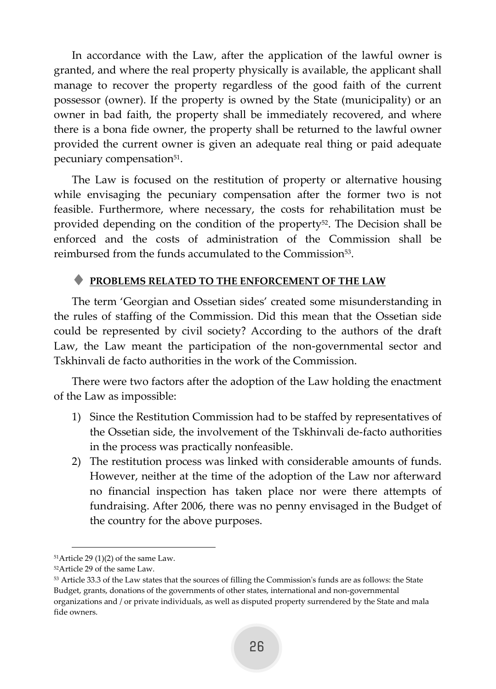In accordance with the Law, after the application of the lawful owner is granted, and where the real property physically is available, the applicant shall manage to recover the property regardless of the good faith of the current possessor (owner). If the property is owned by the State (municipality) or an owner in bad faith, the property shall be immediately recovered, and where there is a bona fide owner, the property shall be returned to the lawful owner provided the current owner is given an adequate real thing or paid adequate pecuniary compensation<sup>51</sup>.

The Law is focused on the restitution of property or alternative housing while envisaging the pecuniary compensation after the former two is not feasible. Furthermore, where necessary, the costs for rehabilitation must be provided depending on the condition of the property<sup>52</sup>. The Decision shall be enforced and the costs of administration of the Commission shall be reimbursed from the funds accumulated to the Commission<sup>53</sup> .

### <span id="page-26-0"></span>**PROBLEMS RELATED TO THE ENFORCEMENT OF THE LAW**

The term 'Georgian and Ossetian sides' created some misunderstanding in the rules of staffing of the Commission. Did this mean that the Ossetian side could be represented by civil society? According to the authors of the draft Law, the Law meant the participation of the non-governmental sector and Tskhinvali de facto authorities in the work of the Commission.

There were two factors after the adoption of the Law holding the enactment of the Law as impossible:

- 1) Since the Restitution Commission had to be staffed by representatives of the Ossetian side, the involvement of the Tskhinvali de-facto authorities in the process was practically nonfeasible.
- 2) The restitution process was linked with considerable amounts of funds. However, neither at the time of the adoption of the Law nor afterward no financial inspection has taken place nor were there attempts of fundraising. After 2006, there was no penny envisaged in the Budget of the country for the above purposes.

 $51$ Article 29 (1)(2) of the same Law.

<sup>52</sup>Article 29 of the same Law.

<sup>53</sup> Article 33.3 of the Law states that the sources of filling the Commission's funds are as follows: the State Budget, grants, donations of the governments of other states, international and non-governmental organizations and / or private individuals, as well as disputed property surrendered by the State and mala fide owners.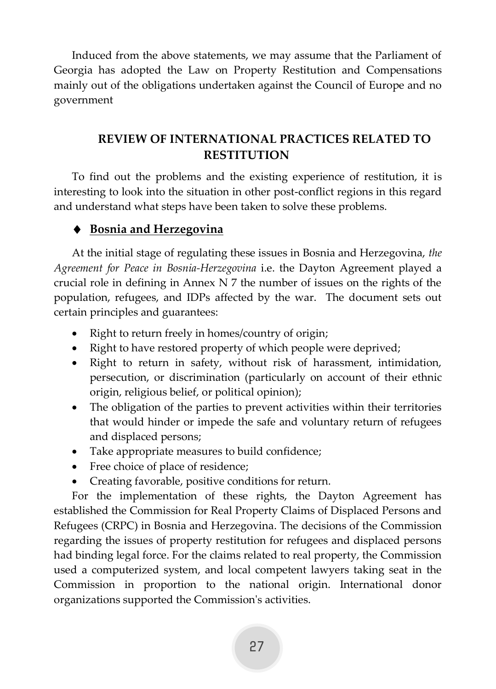Induced from the above statements, we may assume that the Parliament of Georgia has adopted the Law on Property Restitution and Compensations mainly out of the obligations undertaken against the Council of Europe and no government

# <span id="page-27-0"></span>**REVIEW OF INTERNATIONAL PRACTICES RELATED TO RESTITUTION**

To find out the problems and the existing experience of restitution, it is interesting to look into the situation in other post-conflict regions in this regard and understand what steps have been taken to solve these problems.

# **Bosnia and Herzegovina**

At the initial stage of regulating these issues in Bosnia and Herzegovina, *the Agreement for Peace in Bosnia-Herzegovina* i.e. the Dayton Agreement played a crucial role in defining in Annex N 7 the number of issues on the rights of the population, refugees, and IDPs affected by the war. The document sets out certain principles and guarantees:

- Right to return freely in homes/country of origin;
- Right to have restored property of which people were deprived;
- Right to return in safety, without risk of harassment, intimidation, persecution, or discrimination (particularly on account of their ethnic origin, religious belief, or political opinion);
- The obligation of the parties to prevent activities within their territories that would hinder or impede the safe and voluntary return of refugees and displaced persons;
- Take appropriate measures to build confidence;
- Free choice of place of residence;
- Creating favorable, positive conditions for return.

For the implementation of these rights, the Dayton Agreement has established the Commission for Real Property Claims of Displaced Persons and Refugees (CRPC) in Bosnia and Herzegovina. The decisions of the Commission regarding the issues of property restitution for refugees and displaced persons had binding legal force. For the claims related to real property, the Commission used a computerized system, and local competent lawyers taking seat in the Commission in proportion to the national origin. International donor organizations supported the Commission's activities.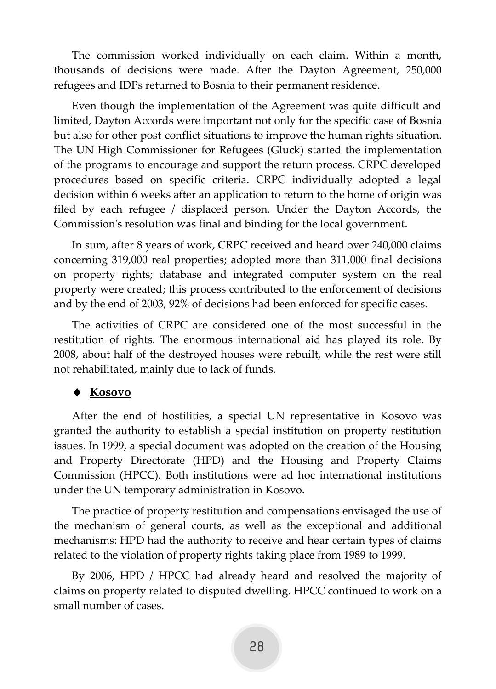The commission worked individually on each claim. Within a month, thousands of decisions were made. After the Dayton Agreement, 250,000 refugees and IDPs returned to Bosnia to their permanent residence.

Even though the implementation of the Agreement was quite difficult and limited, Dayton Accords were important not only for the specific case of Bosnia but also for other post-conflict situations to improve the human rights situation. The UN High Commissioner for Refugees (Gluck) started the implementation of the programs to encourage and support the return process. CRPC developed procedures based on specific criteria. CRPC individually adopted a legal decision within 6 weeks after an application to return to the home of origin was filed by each refugee / displaced person. Under the Dayton Accords, the Commission's resolution was final and binding for the local government.

In sum, after 8 years of work, CRPC received and heard over 240,000 claims concerning 319,000 real properties; adopted more than 311,000 final decisions on property rights; database and integrated computer system on the real property were created; this process contributed to the enforcement of decisions and by the end of 2003, 92% of decisions had been enforced for specific cases.

The activities of CRPC are considered one of the most successful in the restitution of rights. The enormous international aid has played its role. By 2008, about half of the destroyed houses were rebuilt, while the rest were still not rehabilitated, mainly due to lack of funds.

### **Kosovo**

After the end of hostilities, a special UN representative in Kosovo was granted the authority to establish a special institution on property restitution issues. In 1999, a special document was adopted on the creation of the Housing and Property Directorate (HPD) and the Housing and Property Claims Commission (HPCC). Both institutions were ad hoc international institutions under the UN temporary administration in Kosovo.

The practice of property restitution and compensations envisaged the use of the mechanism of general courts, as well as the exceptional and additional mechanisms: HPD had the authority to receive and hear certain types of claims related to the violation of property rights taking place from 1989 to 1999.

By 2006, HPD / HPCC had already heard and resolved the majority of claims on property related to disputed dwelling. HPCC continued to work on a small number of cases.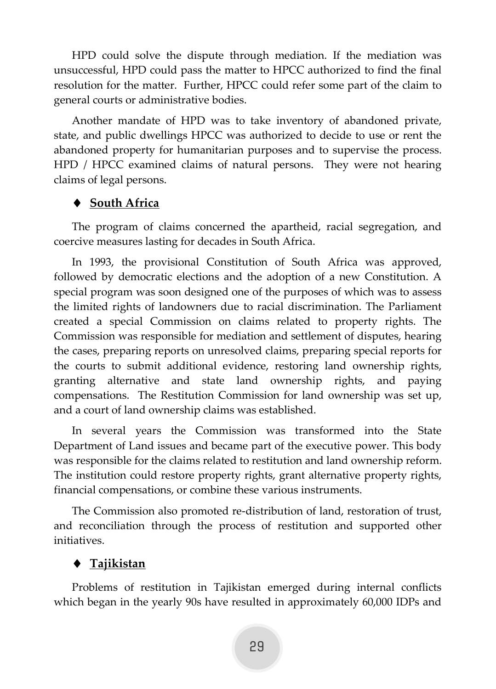HPD could solve the dispute through mediation. If the mediation was unsuccessful, HPD could pass the matter to HPCC authorized to find the final resolution for the matter. Further, HPCC could refer some part of the claim to general courts or administrative bodies.

Another mandate of HPD was to take inventory of abandoned private, state, and public dwellings HPCC was authorized to decide to use or rent the abandoned property for humanitarian purposes and to supervise the process. HPD / HPCC examined claims of natural persons. They were not hearing claims of legal persons.

### **South Africa**

The program of claims concerned the apartheid, racial segregation, and coercive measures lasting for decades in South Africa.

In 1993, the provisional Constitution of South Africa was approved, followed by democratic elections and the adoption of a new Constitution. A special program was soon designed one of the purposes of which was to assess the limited rights of landowners due to racial discrimination. The Parliament created a special Commission on claims related to property rights. The Commission was responsible for mediation and settlement of disputes, hearing the cases, preparing reports on unresolved claims, preparing special reports for the courts to submit additional evidence, restoring land ownership rights, granting alternative and state land ownership rights, and paying compensations. The Restitution Commission for land ownership was set up, and a court of land ownership claims was established.

In several years the Commission was transformed into the State Department of Land issues and became part of the executive power. This body was responsible for the claims related to restitution and land ownership reform. The institution could restore property rights, grant alternative property rights, financial compensations, or combine these various instruments.

The Commission also promoted re-distribution of land, restoration of trust, and reconciliation through the process of restitution and supported other initiatives.

### **Tajikistan**

Problems of restitution in Tajikistan emerged during internal conflicts which began in the yearly 90s have resulted in approximately 60,000 IDPs and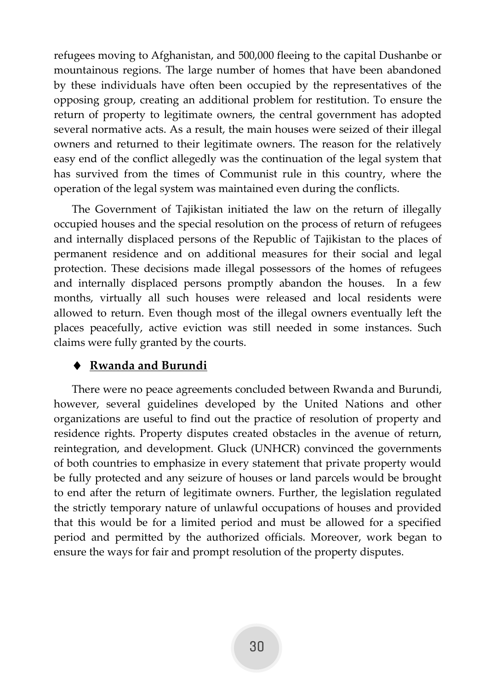refugees moving to Afghanistan, and 500,000 fleeing to the capital Dushanbe or mountainous regions. The large number of homes that have been abandoned by these individuals have often been occupied by the representatives of the opposing group, creating an additional problem for restitution. To ensure the return of property to legitimate owners, the central government has adopted several normative acts. As a result, the main houses were seized of their illegal owners and returned to their legitimate owners. The reason for the relatively easy end of the conflict allegedly was the continuation of the legal system that has survived from the times of Communist rule in this country, where the operation of the legal system was maintained even during the conflicts.

The Government of Tajikistan initiated the law on the return of illegally occupied houses and the special resolution on the process of return of refugees and internally displaced persons of the Republic of Tajikistan to the places of permanent residence and on additional measures for their social and legal protection. These decisions made illegal possessors of the homes of refugees and internally displaced persons promptly abandon the houses. In a few months, virtually all such houses were released and local residents were allowed to return. Even though most of the illegal owners eventually left the places peacefully, active eviction was still needed in some instances. Such claims were fully granted by the courts.

# **Rwanda and Burundi**

There were no peace agreements concluded between Rwanda and Burundi, however, several guidelines developed by the United Nations and other organizations are useful to find out the practice of resolution of property and residence rights. Property disputes created obstacles in the avenue of return, reintegration, and development. Gluck (UNHCR) convinced the governments of both countries to emphasize in every statement that private property would be fully protected and any seizure of houses or land parcels would be brought to end after the return of legitimate owners. Further, the legislation regulated the strictly temporary nature of unlawful occupations of houses and provided that this would be for a limited period and must be allowed for a specified period and permitted by the authorized officials. Moreover, work began to ensure the ways for fair and prompt resolution of the property disputes.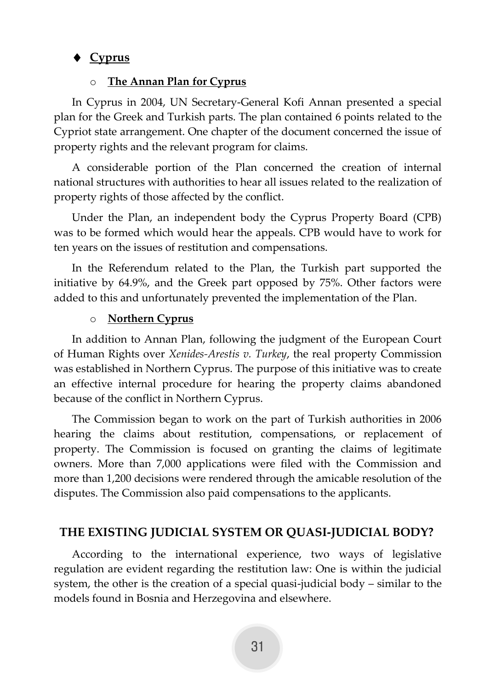# **Cyprus**

### o **The Annan Plan for Cyprus**

In Cyprus in 2004, UN Secretary-General Kofi Annan presented a special plan for the Greek and Turkish parts. The plan contained 6 points related to the Cypriot state arrangement. One chapter of the document concerned the issue of property rights and the relevant program for claims.

A considerable portion of the Plan concerned the creation of internal national structures with authorities to hear all issues related to the realization of property rights of those affected by the conflict.

Under the Plan, an independent body the Cyprus Property Board (CPB) was to be formed which would hear the appeals. CPB would have to work for ten years on the issues of restitution and compensations.

In the Referendum related to the Plan, the Turkish part supported the initiative by 64.9%, and the Greek part opposed by 75%. Other factors were added to this and unfortunately prevented the implementation of the Plan.

#### o **Northern Cyprus**

In addition to Annan Plan, following the judgment of the European Court of Human Rights over *Xenides-Arestis v. Turkey*, the real property Commission was established in Northern Cyprus. The purpose of this initiative was to create an effective internal procedure for hearing the property claims abandoned because of the conflict in Northern Cyprus.

The Commission began to work on the part of Turkish authorities in 2006 hearing the claims about restitution, compensations, or replacement of property. The Commission is focused on granting the claims of legitimate owners. More than 7,000 applications were filed with the Commission and more than 1,200 decisions were rendered through the amicable resolution of the disputes. The Commission also paid compensations to the applicants.

### <span id="page-31-0"></span>**THE EXISTING JUDICIAL SYSTEM OR QUASI-JUDICIAL BODY?**

According to the international experience, two ways of legislative regulation are evident regarding the restitution law: One is within the judicial system, the other is the creation of a special quasi-judicial body – similar to the models found in Bosnia and Herzegovina and elsewhere.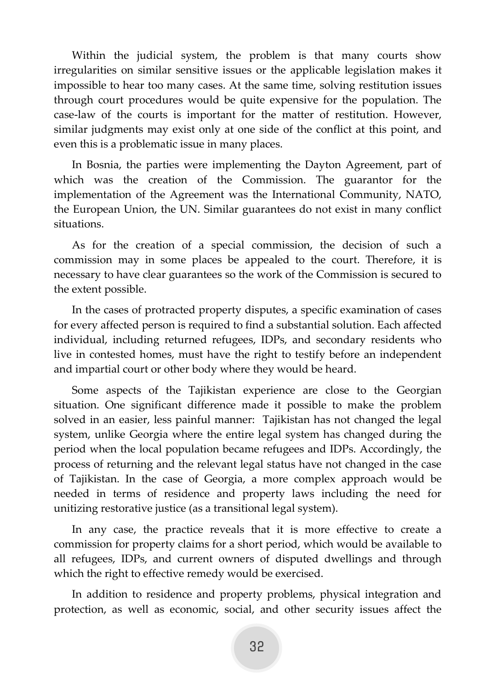Within the judicial system, the problem is that many courts show irregularities on similar sensitive issues or the applicable legislation makes it impossible to hear too many cases. At the same time, solving restitution issues through court procedures would be quite expensive for the population. The case-law of the courts is important for the matter of restitution. However, similar judgments may exist only at one side of the conflict at this point, and even this is a problematic issue in many places.

In Bosnia, the parties were implementing the Dayton Agreement, part of which was the creation of the Commission. The guarantor for the implementation of the Agreement was the International Community, NATO, the European Union, the UN. Similar guarantees do not exist in many conflict situations.

As for the creation of a special commission, the decision of such a commission may in some places be appealed to the court. Therefore, it is necessary to have clear guarantees so the work of the Commission is secured to the extent possible.

In the cases of protracted property disputes, a specific examination of cases for every affected person is required to find a substantial solution. Each affected individual, including returned refugees, IDPs, and secondary residents who live in contested homes, must have the right to testify before an independent and impartial court or other body where they would be heard.

Some aspects of the Tajikistan experience are close to the Georgian situation. One significant difference made it possible to make the problem solved in an easier, less painful manner: Tajikistan has not changed the legal system, unlike Georgia where the entire legal system has changed during the period when the local population became refugees and IDPs. Accordingly, the process of returning and the relevant legal status have not changed in the case of Tajikistan. In the case of Georgia, a more complex approach would be needed in terms of residence and property laws including the need for unitizing restorative justice (as a transitional legal system).

In any case, the practice reveals that it is more effective to create a commission for property claims for a short period, which would be available to all refugees, IDPs, and current owners of disputed dwellings and through which the right to effective remedy would be exercised.

In addition to residence and property problems, physical integration and protection, as well as economic, social, and other security issues affect the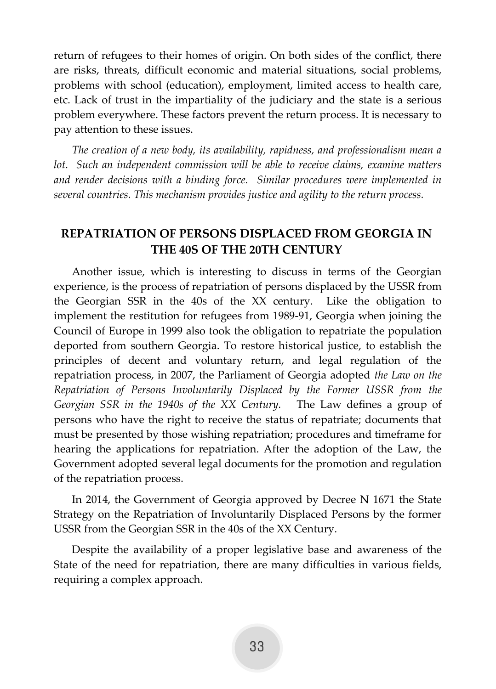return of refugees to their homes of origin. On both sides of the conflict, there are risks, threats, difficult economic and material situations, social problems, problems with school (education), employment, limited access to health care, etc. Lack of trust in the impartiality of the judiciary and the state is a serious problem everywhere. These factors prevent the return process. It is necessary to pay attention to these issues.

*The creation of a new body, its availability, rapidness, and professionalism mean a lot.* Such an independent commission will be able to receive claims, examine matters *and render decisions with a binding force. Similar procedures were implemented in several countries. This mechanism provides justice and agility to the return process.* 

# <span id="page-33-0"></span>**REPATRIATION OF PERSONS DISPLACED FROM GEORGIA IN THE 40S OF THE 20TH CENTURY**

Another issue, which is interesting to discuss in terms of the Georgian experience, is the process of repatriation of persons displaced by the USSR from the Georgian SSR in the 40s of the XX century. Like the obligation to implement the restitution for refugees from 1989-91, Georgia when joining the Council of Europe in 1999 also took the obligation to repatriate the population deported from southern Georgia. To restore historical justice, to establish the principles of decent and voluntary return, and legal regulation of the repatriation process, in 2007, the Parliament of Georgia adopted *the Law on the Repatriation of Persons Involuntarily Displaced by the Former USSR from the Georgian SSR in the 1940s of the XX Century.* The Law defines a group of persons who have the right to receive the status of repatriate; documents that must be presented by those wishing repatriation; procedures and timeframe for hearing the applications for repatriation. After the adoption of the Law, the Government adopted several legal documents for the promotion and regulation of the repatriation process.

In 2014, the Government of Georgia approved by Decree N 1671 the State Strategy on the Repatriation of Involuntarily Displaced Persons by the former USSR from the Georgian SSR in the 40s of the XX Century.

Despite the availability of a proper legislative base and awareness of the State of the need for repatriation, there are many difficulties in various fields, requiring a complex approach.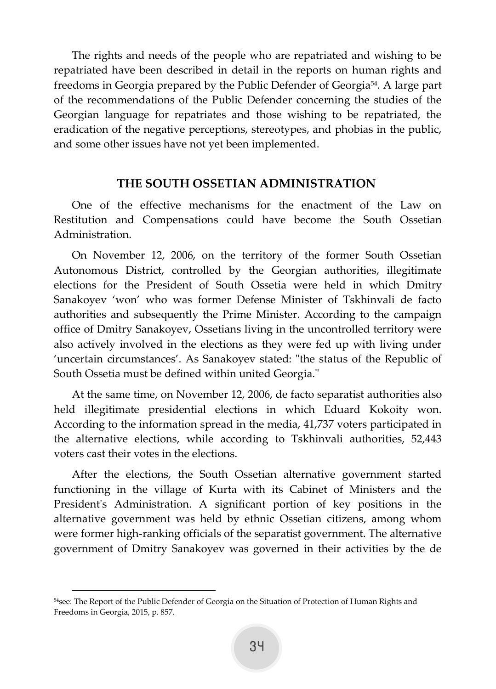The rights and needs of the people who are repatriated and wishing to be repatriated have been described in detail in the reports on human rights and freedoms in Georgia prepared by the Public Defender of Georgia54. A large part of the recommendations of the Public Defender concerning the studies of the Georgian language for repatriates and those wishing to be repatriated, the eradication of the negative perceptions, stereotypes, and phobias in the public, and some other issues have not yet been implemented.

#### **THE SOUTH OSSETIAN ADMINISTRATION**

<span id="page-34-0"></span>One of the effective mechanisms for the enactment of the Law on Restitution and Compensations could have become the South Ossetian Administration.

On November 12, 2006, on the territory of the former South Ossetian Autonomous District, controlled by the Georgian authorities, illegitimate elections for the President of South Ossetia were held in which Dmitry Sanakoyev 'won' who was former Defense Minister of Tskhinvali de facto authorities and subsequently the Prime Minister. According to the campaign office of Dmitry Sanakoyev, Ossetians living in the uncontrolled territory were also actively involved in the elections as they were fed up with living under 'uncertain circumstances'. As Sanakoyev stated: "the status of the Republic of South Ossetia must be defined within united Georgia."

At the same time, on November 12, 2006, de facto separatist authorities also held illegitimate presidential elections in which Eduard Kokoity won. According to the information spread in the media, 41,737 voters participated in the alternative elections, while according to Tskhinvali authorities, 52,443 voters cast their votes in the elections.

After the elections, the South Ossetian alternative government started functioning in the village of Kurta with its Cabinet of Ministers and the President's Administration. A significant portion of key positions in the alternative government was held by ethnic Ossetian citizens, among whom were former high-ranking officials of the separatist government. The alternative government of Dmitry Sanakoyev was governed in their activities by the de

<sup>54</sup>see: The Report of the Public Defender of Georgia on the Situation of Protection of Human Rights and Freedoms in Georgia, 2015, p. 857.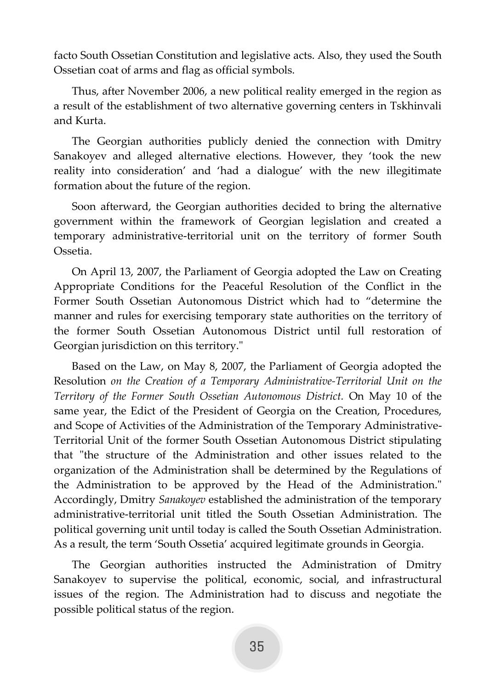facto South Ossetian Constitution and legislative acts. Also, they used the South Ossetian coat of arms and flag as official symbols.

Thus, after November 2006, a new political reality emerged in the region as a result of the establishment of two alternative governing centers in Tskhinvali and Kurta.

The Georgian authorities publicly denied the connection with Dmitry Sanakoyev and alleged alternative elections. However, they 'took the new reality into consideration' and 'had a dialogue' with the new illegitimate formation about the future of the region.

Soon afterward, the Georgian authorities decided to bring the alternative government within the framework of Georgian legislation and created a temporary administrative-territorial unit on the territory of former South Ossetia.

On April 13, 2007, the Parliament of Georgia adopted the Law on Creating Appropriate Conditions for the Peaceful Resolution of the Conflict in the Former South Ossetian Autonomous District which had to "determine the manner and rules for exercising temporary state authorities on the territory of the former South Ossetian Autonomous District until full restoration of Georgian jurisdiction on this territory."

Based on the Law, on May 8, 2007, the Parliament of Georgia adopted the Resolution *on the Creation of a Temporary Administrative-Territorial Unit on the Territory of the Former South Ossetian Autonomous District.* On May 10 of the same year, the Edict of the President of Georgia on the Creation, Procedures, and Scope of Activities of the Administration of the Temporary Administrative-Territorial Unit of the former South Ossetian Autonomous District stipulating that "the structure of the Administration and other issues related to the organization of the Administration shall be determined by the Regulations of the Administration to be approved by the Head of the Administration." Accordingly, Dmitry *Sanakoyev* established the administration of the temporary administrative-territorial unit titled the South Ossetian Administration. The political governing unit until today is called the South Ossetian Administration. As a result, the term 'South Ossetia' acquired legitimate grounds in Georgia.

The Georgian authorities instructed the Administration of Dmitry Sanakoyev to supervise the political, economic, social, and infrastructural issues of the region. The Administration had to discuss and negotiate the possible political status of the region.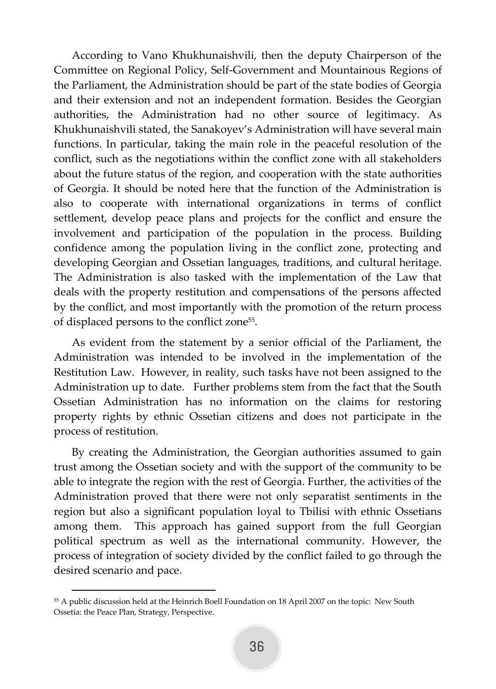According to Vano Khukhunaishvili, then the deputy Chairperson of the Committee on Regional Policy, Self-Government and Mountainous Regions of the Parliament, the Administration should be part of the state bodies of Georgia and their extension and not an independent formation. Besides the Georgian authorities, the Administration had no other source of legitimacy. As Khukhunaishvili stated, the Sanakoyev's Administration will have several main functions. In particular, taking the main role in the peaceful resolution of the conflict, such as the negotiations within the conflict zone with all stakeholders about the future status of the region, and cooperation with the state authorities of Georgia. It should be noted here that the function of the Administration is also to cooperate with international organizations in terms of conflict settlement, develop peace plans and projects for the conflict and ensure the involvement and participation of the population in the process. Building confidence among the population living in the conflict zone, protecting and developing Georgian and Ossetian languages, traditions, and cultural heritage. The Administration is also tasked with the implementation of the Law that deals with the property restitution and compensations of the persons affected by the conflict, and most importantly with the promotion of the return process of displaced persons to the conflict zone<sup>55</sup>.

As evident from the statement by a senior official of the Parliament, the Administration was intended to be involved in the implementation of the Restitution Law. However, in reality, such tasks have not been assigned to the Administration up to date. Further problems stem from the fact that the South Ossetian Administration has no information on the claims for restoring property rights by ethnic Ossetian citizens and does not participate in the process of restitution.

By creating the Administration, the Georgian authorities assumed to gain trust among the Ossetian society and with the support of the community to be able to integrate the region with the rest of Georgia. Further, the activities of the Administration proved that there were not only separatist sentiments in the region but also a significant population loyal to Tbilisi with ethnic Ossetians among them. This approach has gained support from the full Georgian political spectrum as well as the international community. However, the process of integration of society divided by the conflict failed to go through the desired scenario and pace.

<sup>55</sup> A public discussion held at the Heinrich Boell Foundation on 18 April 2007 on the topic: New South Ossetia: the Peace Plan, Strategy, Perspective.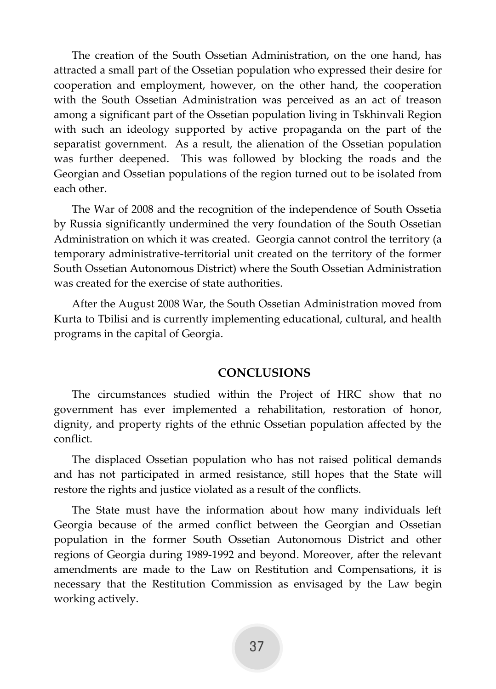The creation of the South Ossetian Administration, on the one hand, has attracted a small part of the Ossetian population who expressed their desire for cooperation and employment, however, on the other hand, the cooperation with the South Ossetian Administration was perceived as an act of treason among a significant part of the Ossetian population living in Tskhinvali Region with such an ideology supported by active propaganda on the part of the separatist government. As a result, the alienation of the Ossetian population was further deepened. This was followed by blocking the roads and the Georgian and Ossetian populations of the region turned out to be isolated from each other.

The War of 2008 and the recognition of the independence of South Ossetia by Russia significantly undermined the very foundation of the South Ossetian Administration on which it was created. Georgia cannot control the territory (a temporary administrative-territorial unit created on the territory of the former South Ossetian Autonomous District) where the South Ossetian Administration was created for the exercise of state authorities.

After the August 2008 War, the South Ossetian Administration moved from Kurta to Tbilisi and is currently implementing educational, cultural, and health programs in the capital of Georgia.

### <span id="page-37-0"></span>**CONCLUSIONS**

The circumstances studied within the Project of HRC show that no government has ever implemented a rehabilitation, restoration of honor, dignity, and property rights of the ethnic Ossetian population affected by the conflict.

The displaced Ossetian population who has not raised political demands and has not participated in armed resistance, still hopes that the State will restore the rights and justice violated as a result of the conflicts.

The State must have the information about how many individuals left Georgia because of the armed conflict between the Georgian and Ossetian population in the former South Ossetian Autonomous District and other regions of Georgia during 1989-1992 and beyond. Moreover, after the relevant amendments are made to the Law on Restitution and Compensations, it is necessary that the Restitution Commission as envisaged by the Law begin working actively.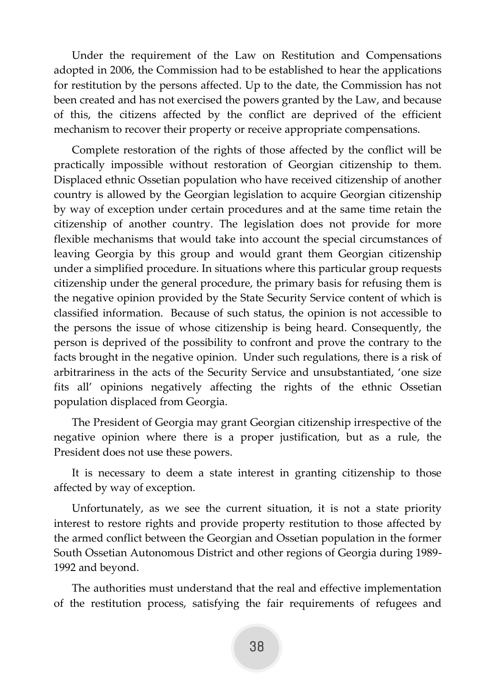Under the requirement of the Law on Restitution and Compensations adopted in 2006, the Commission had to be established to hear the applications for restitution by the persons affected. Up to the date, the Commission has not been created and has not exercised the powers granted by the Law, and because of this, the citizens affected by the conflict are deprived of the efficient mechanism to recover their property or receive appropriate compensations.

Complete restoration of the rights of those affected by the conflict will be practically impossible without restoration of Georgian citizenship to them. Displaced ethnic Ossetian population who have received citizenship of another country is allowed by the Georgian legislation to acquire Georgian citizenship by way of exception under certain procedures and at the same time retain the citizenship of another country. The legislation does not provide for more flexible mechanisms that would take into account the special circumstances of leaving Georgia by this group and would grant them Georgian citizenship under a simplified procedure. In situations where this particular group requests citizenship under the general procedure, the primary basis for refusing them is the negative opinion provided by the State Security Service content of which is classified information. Because of such status, the opinion is not accessible to the persons the issue of whose citizenship is being heard. Consequently, the person is deprived of the possibility to confront and prove the contrary to the facts brought in the negative opinion. Under such regulations, there is a risk of arbitrariness in the acts of the Security Service and unsubstantiated, 'one size fits all' opinions negatively affecting the rights of the ethnic Ossetian population displaced from Georgia.

The President of Georgia may grant Georgian citizenship irrespective of the negative opinion where there is a proper justification, but as a rule, the President does not use these powers.

It is necessary to deem a state interest in granting citizenship to those affected by way of exception.

Unfortunately, as we see the current situation, it is not a state priority interest to restore rights and provide property restitution to those affected by the armed conflict between the Georgian and Ossetian population in the former South Ossetian Autonomous District and other regions of Georgia during 1989- 1992 and beyond.

The authorities must understand that the real and effective implementation of the restitution process, satisfying the fair requirements of refugees and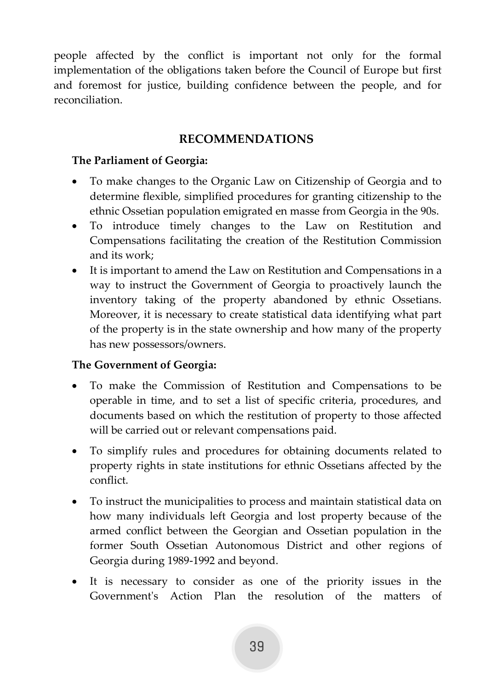people affected by the conflict is important not only for the formal implementation of the obligations taken before the Council of Europe but first and foremost for justice, building confidence between the people, and for reconciliation.

# **RECOMMENDATIONS**

### <span id="page-39-0"></span>**The Parliament of Georgia:**

- To make changes to the Organic Law on Citizenship of Georgia and to determine flexible, simplified procedures for granting citizenship to the ethnic Ossetian population emigrated en masse from Georgia in the 90s.
- To introduce timely changes to the Law on Restitution and Compensations facilitating the creation of the Restitution Commission and its work;
- It is important to amend the Law on Restitution and Compensations in a way to instruct the Government of Georgia to proactively launch the inventory taking of the property abandoned by ethnic Ossetians. Moreover, it is necessary to create statistical data identifying what part of the property is in the state ownership and how many of the property has new possessors/owners.

# **The Government of Georgia:**

- To make the Commission of Restitution and Compensations to be operable in time, and to set a list of specific criteria, procedures, and documents based on which the restitution of property to those affected will be carried out or relevant compensations paid.
- To simplify rules and procedures for obtaining documents related to property rights in state institutions for ethnic Ossetians affected by the conflict.
- To instruct the municipalities to process and maintain statistical data on how many individuals left Georgia and lost property because of the armed conflict between the Georgian and Ossetian population in the former South Ossetian Autonomous District and other regions of Georgia during 1989-1992 and beyond.
- It is necessary to consider as one of the priority issues in the Government's Action Plan the resolution of the matters of